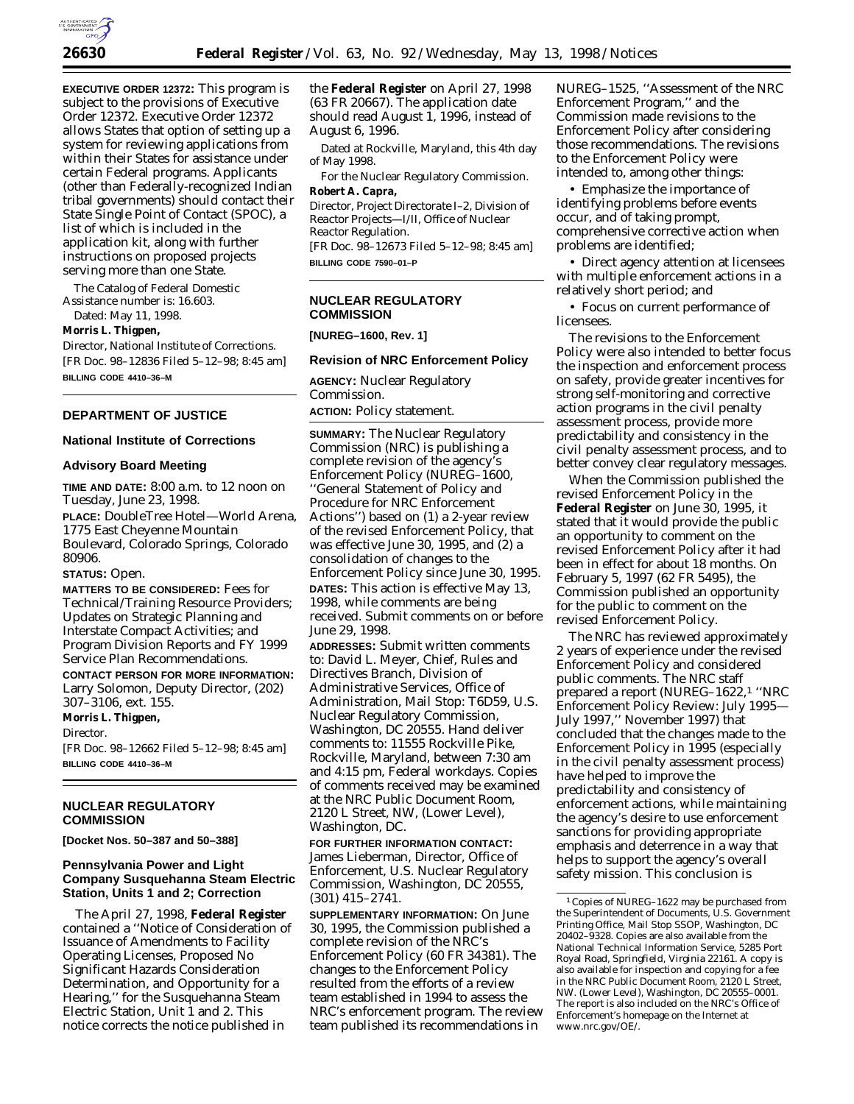

**EXECUTIVE ORDER 12372:** This program is subject to the provisions of Executive Order 12372. Executive Order 12372 allows States that option of setting up a system for reviewing applications from within their States for assistance under certain Federal programs. Applicants (other than Federally-recognized Indian tribal governments) should contact their State Single Point of Contact (SPOC), a list of which is included in the application kit, along with further instructions on proposed projects serving more than one State.

The Catalog of Federal Domestic Assistance number is: 16.603.

Dated: May 11, 1998.

# **Morris L. Thigpen,**

*Director, National Institute of Corrections.* [FR Doc. 98–12836 Filed 5–12–98; 8:45 am] **BILLING CODE 4410–36–M**

# **DEPARTMENT OF JUSTICE**

# **National Institute of Corrections**

#### **Advisory Board Meeting**

**TIME AND DATE:** 8:00 a.m. to 12 noon on Tuesday, June 23, 1998. **PLACE:** DoubleTree Hotel—World Arena, 1775 East Cheyenne Mountain Boulevard, Colorado Springs, Colorado 80906.

#### **STATUS:** Open.

**MATTERS TO BE CONSIDERED:** Fees for Technical/Training Resource Providers; Updates on Strategic Planning and Interstate Compact Activities; and Program Division Reports and FY 1999 Service Plan Recommendations.

**CONTACT PERSON FOR MORE INFORMATION:** Larry Solomon, Deputy Director, (202) 307–3106, ext. 155.

**Morris L. Thigpen,** *Director.* [FR Doc. 98–12662 Filed 5–12–98; 8:45 am] **BILLING CODE 4410–36–M**

# **NUCLEAR REGULATORY COMMISSION**

**[Docket Nos. 50–387 and 50–388]**

# **Pennsylvania Power and Light Company Susquehanna Steam Electric Station, Units 1 and 2; Correction**

The April 27, 1998, **Federal Register** contained a ''Notice of Consideration of Issuance of Amendments to Facility Operating Licenses, Proposed No Significant Hazards Consideration Determination, and Opportunity for a Hearing,'' for the Susquehanna Steam Electric Station, Unit 1 and 2. This notice corrects the notice published in

the **Federal Register** on April 27, 1998 (63 FR 20667). The application date should read August 1, 1996, instead of August 6, 1996.

Dated at Rockville, Maryland, this 4th day of May 1998.

For the Nuclear Regulatory Commission.

# **Robert A. Capra,**

*Director, Project Directorate I–2, Division of Reactor Projects—I/II, Office of Nuclear Reactor Regulation.* [FR Doc. 98–12673 Filed 5–12–98; 8:45 am]

**BILLING CODE 7590–01–P**

# **NUCLEAR REGULATORY COMMISSION**

**[NUREG–1600, Rev. 1]**

## **Revision of NRC Enforcement Policy**

**AGENCY:** Nuclear Regulatory Commission. **ACTION:** Policy statement.

**SUMMARY:** The Nuclear Regulatory Commission (NRC) is publishing a complete revision of the agency's Enforcement Policy (NUREG–1600, ''General Statement of Policy and Procedure for NRC Enforcement Actions'') based on (1) a 2-year review of the revised Enforcement Policy, that was effective June 30, 1995, and (2) a consolidation of changes to the Enforcement Policy since June 30, 1995. **DATES:** This action is effective May 13, 1998, while comments are being received. Submit comments on or before June 29, 1998.

**ADDRESSES:** Submit written comments to: David L. Meyer, Chief, Rules and Directives Branch, Division of Administrative Services, Office of Administration, Mail Stop: T6D59, U.S. Nuclear Regulatory Commission, Washington, DC 20555. Hand deliver comments to: 11555 Rockville Pike, Rockville, Maryland, between 7:30 am and 4:15 pm, Federal workdays. Copies of comments received may be examined at the NRC Public Document Room, 2120 L Street, NW, (Lower Level), Washington, DC.

**FOR FURTHER INFORMATION CONTACT:** James Lieberman, Director, Office of Enforcement, U.S. Nuclear Regulatory Commission, Washington, DC 20555, (301) 415–2741.

**SUPPLEMENTARY INFORMATION:** On June 30, 1995, the Commission published a complete revision of the NRC's Enforcement Policy (60 FR 34381). The changes to the Enforcement Policy resulted from the efforts of a review team established in 1994 to assess the NRC's enforcement program. The review team published its recommendations in

NUREG–1525, ''Assessment of the NRC Enforcement Program,'' and the Commission made revisions to the Enforcement Policy after considering those recommendations. The revisions to the Enforcement Policy were intended to, among other things:

• Emphasize the importance of identifying problems before events occur, and of taking prompt, comprehensive corrective action when problems are identified;

• Direct agency attention at licensees with multiple enforcement actions in a relatively short period; and

• Focus on current performance of **licensees** 

The revisions to the Enforcement Policy were also intended to better focus the inspection and enforcement process on safety, provide greater incentives for strong self-monitoring and corrective action programs in the civil penalty assessment process, provide more predictability and consistency in the civil penalty assessment process, and to better convey clear regulatory messages.

When the Commission published the revised Enforcement Policy in the **Federal Register** on June 30, 1995, it stated that it would provide the public an opportunity to comment on the revised Enforcement Policy after it had been in effect for about 18 months. On February 5, 1997 (62 FR 5495), the Commission published an opportunity for the public to comment on the revised Enforcement Policy.

The NRC has reviewed approximately 2 years of experience under the revised Enforcement Policy and considered public comments. The NRC staff prepared a report (NUREG–1622,1 ''NRC Enforcement Policy Review: July 1995— July 1997,'' November 1997) that concluded that the changes made to the Enforcement Policy in 1995 (especially in the civil penalty assessment process) have helped to improve the predictability and consistency of enforcement actions, while maintaining the agency's desire to use enforcement sanctions for providing appropriate emphasis and deterrence in a way that helps to support the agency's overall safety mission. This conclusion is

<sup>1</sup>Copies of NUREG–1622 may be purchased from the Superintendent of Documents, U.S. Government Printing Office, Mail Stop SSOP, Washington, DC 20402–9328. Copies are also available from the National Technical Information Service, 5285 Port Royal Road, Springfield, Virginia 22161. A copy is also available for inspection and copying for a fee in the NRC Public Document Room, 2120 L Street, NW. (Lower Level), Washington, DC 20555–0001. The report is also included on the NRC's Office of Enforcement's homepage on the Internet at www.nrc.gov/OE/.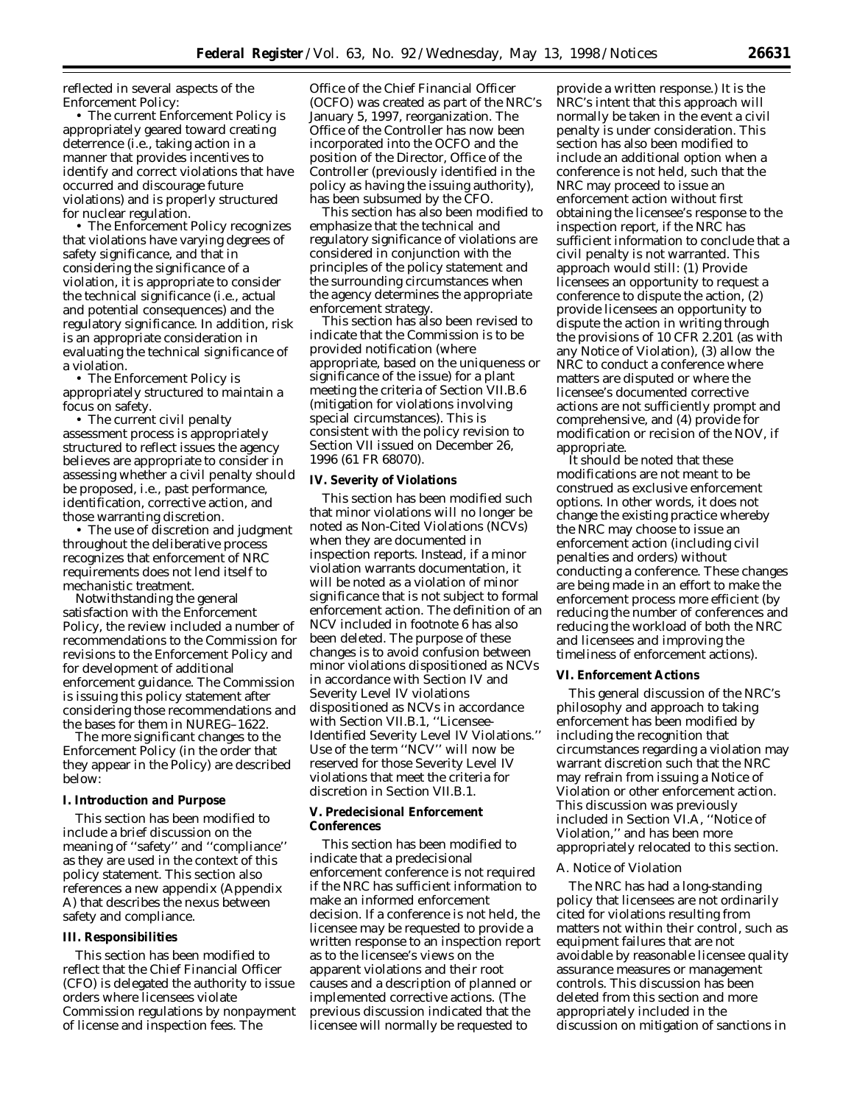reflected in several aspects of the Enforcement Policy:

• The current Enforcement Policy is appropriately geared toward creating deterrence (i.e., taking action in a manner that provides incentives to identify and correct violations that have occurred and discourage future violations) and is properly structured for nuclear regulation.

• The Enforcement Policy recognizes that violations have varying degrees of safety significance, and that in considering the significance of a violation, it is appropriate to consider the technical significance (i.e., actual and potential consequences) and the regulatory significance. In addition, risk is an appropriate consideration in evaluating the technical significance of a violation.

• The Enforcement Policy is appropriately structured to maintain a focus on safety.

• The current civil penalty assessment process is appropriately structured to reflect issues the agency believes are appropriate to consider in assessing whether a civil penalty should be proposed, i.e., past performance, identification, corrective action, and those warranting discretion.

• The use of discretion and judgment throughout the deliberative process recognizes that enforcement of NRC requirements does not lend itself to mechanistic treatment.

Notwithstanding the general satisfaction with the Enforcement Policy, the review included a number of recommendations to the Commission for revisions to the Enforcement Policy and for development of additional enforcement guidance. The Commission is issuing this policy statement after considering those recommendations and the bases for them in NUREG–1622.

The more significant changes to the Enforcement Policy (in the order that they appear in the Policy) are described below:

#### **I. Introduction and Purpose**

This section has been modified to include a brief discussion on the meaning of ''safety'' and ''compliance'' as they are used in the context of this policy statement. This section also references a new appendix (Appendix A) that describes the nexus between safety and compliance.

## **III. Responsibilities**

This section has been modified to reflect that the Chief Financial Officer (CFO) is delegated the authority to issue orders where licensees violate Commission regulations by nonpayment of license and inspection fees. The

Office of the Chief Financial Officer (OCFO) was created as part of the NRC's January 5, 1997, reorganization. The Office of the Controller has now been incorporated into the OCFO and the position of the Director, Office of the Controller (previously identified in the policy as having the issuing authority), has been subsumed by the CFO.

This section has also been modified to emphasize that the technical *and regulatory significance of violations are considered in conjunction with the principles of the policy statement and the surrounding circumstances when the agency determines the appropriate enforcement strategy.*

This section has also been revised to indicate that the Commission is to be provided notification (where appropriate, based on the uniqueness or significance of the issue) for a plant meeting the criteria of Section VII.B.6 (mitigation for violations involving special circumstances). This is consistent with the policy revision to Section VII issued on December 26, 1996 (61 FR 68070).

#### **IV. Severity of Violations**

This section has been modified such that minor violations will no longer be noted as Non-Cited Violations (NCVs) when they are documented in inspection reports. Instead, if a minor violation warrants documentation, it will be noted as a violation of minor significance that is not subject to formal enforcement action. The definition of an NCV included in footnote 6 has also been deleted. The purpose of these changes is to avoid confusion between minor violations dispositioned as NCVs in accordance with Section IV and Severity Level IV violations dispositioned as NCVs in accordance with Section VII.B.1, ''Licensee-Identified Severity Level IV Violations.'' Use of the term ''NCV'' will now be reserved for those Severity Level IV violations that meet the criteria for discretion in Section VII.B.1.

#### **V. Predecisional Enforcement Conferences**

This section has been modified to indicate that a predecisional enforcement conference is not required if the NRC has sufficient information to make an informed enforcement decision. If a conference is not held, the licensee *may* be requested to provide a written response to an inspection report as to the licensee's views on the apparent violations and their root causes and a description of planned or implemented corrective actions. (The previous discussion indicated that the licensee *will normally* be requested to

provide a written response.) It is the NRC's intent that this approach will normally be taken in the event a civil penalty is under consideration. This section has also been modified to include an additional option when a conference is not held, such that the NRC may proceed to issue an enforcement action without first obtaining the licensee's response to the inspection report, if the NRC has sufficient information to conclude that a civil penalty is not warranted. This approach would still: (1) Provide licensees an opportunity to request a conference to dispute the action, (2) provide licensees an opportunity to dispute the action in writing through the provisions of 10 CFR 2.201 (as with any Notice of Violation), (3) allow the NRC to conduct a conference where matters are disputed or where the licensee's documented corrective actions are not sufficiently prompt and comprehensive, and (4) provide for modification or recision of the NOV, if appropriate.

It should be noted that these modifications are not meant to be construed as exclusive enforcement options. In other words, it does not change the existing practice whereby the NRC may choose to issue an enforcement action (including civil penalties and orders) without conducting a conference. These changes are being made in an effort to make the enforcement process more efficient (by reducing the number of conferences and reducing the workload of both the NRC and licensees and improving the timeliness of enforcement actions).

#### **VI. Enforcement Actions**

This general discussion of the NRC's philosophy and approach to taking enforcement has been modified by including the recognition that circumstances regarding a violation may warrant discretion such that the NRC may refrain from issuing a Notice of Violation or other enforcement action. This discussion was previously included in Section VI.A, ''Notice of Violation,'' and has been more appropriately relocated to this section.

#### *A. Notice of Violation*

The NRC has had a long-standing policy that licensees are not ordinarily cited for violations resulting from matters not within their control, such as equipment failures that are not avoidable by reasonable licensee quality assurance measures or management controls. This discussion has been deleted from this section and more appropriately included in the discussion on mitigation of sanctions in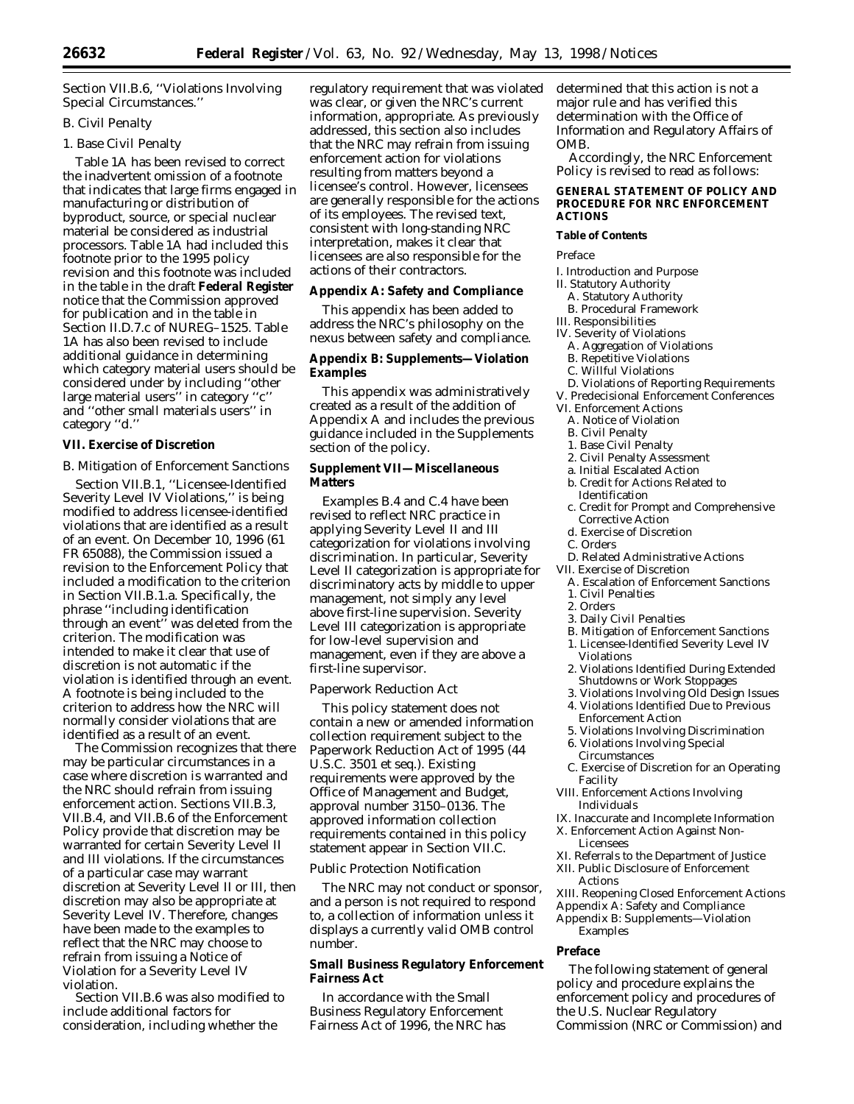Section VII.B.6, ''Violations Involving Special Circumstances.''

# *B. Civil Penalty*

# 1. Base Civil Penalty

Table 1A has been revised to correct the inadvertent omission of a footnote that indicates that large firms engaged in manufacturing or distribution of byproduct, source, or special nuclear material be considered as industrial processors. Table 1A had included this footnote prior to the 1995 policy revision and this footnote was included in the table in the draft **Federal Register** notice that the Commission approved for publication and in the table in Section II.D.7.c of NUREG–1525. Table 1A has also been revised to include additional guidance in determining which category material users should be considered under by including ''other large material users'' in category ''c'' and ''other small materials users'' in category ''d.''

# **VII. Exercise of Discretion**

## *B. Mitigation of Enforcement Sanctions*

Section VII.B.1, ''Licensee-Identified Severity Level IV Violations,'' is being modified to address licensee-identified violations that are identified as a result of an event. On December 10, 1996 (61 FR 65088), the Commission issued a revision to the Enforcement Policy that included a modification to the criterion in Section VII.B.1.a. Specifically, the phrase ''including identification through an event'' was deleted from the criterion. The modification was intended to make it clear that use of discretion is not automatic if the violation is identified through an event. A footnote is being included to the criterion to address how the NRC will normally consider violations that are identified as a result of an event.

The Commission recognizes that there may be particular circumstances in a case where discretion is warranted and the NRC should refrain from issuing enforcement action. Sections VII.B.3, VII.B.4, and VII.B.6 of the Enforcement Policy provide that discretion may be warranted for certain Severity Level II and III violations. If the circumstances of a particular case may warrant discretion at Severity Level II or III, then discretion may also be appropriate at Severity Level IV. Therefore, changes have been made to the examples to reflect that the NRC may choose to refrain from issuing a Notice of Violation for a Severity Level IV violation.

Section VII.B.6 was also modified to include additional factors for consideration, including whether the

regulatory requirement that was violated was clear, or given the NRC's current information, appropriate. As previously addressed, this section also includes that the NRC may refrain from issuing enforcement action for violations resulting from matters beyond a licensee's control. However, licensees are generally responsible for the actions of its employees. The revised text, consistent with long-standing NRC interpretation, makes it clear that licensees are also responsible for the actions of their contractors.

# **Appendix A: Safety and Compliance**

This appendix has been added to address the NRC's philosophy on the nexus between safety and compliance.

# **Appendix B: Supplements—Violation Examples**

This appendix was administratively created as a result of the addition of Appendix A and includes the previous guidance included in the Supplements section of the policy.

# **Supplement VII—Miscellaneous Matters**

Examples B.4 and C.4 have been revised to reflect NRC practice in applying Severity Level II and III categorization for violations involving discrimination. In particular, Severity Level II categorization is appropriate for discriminatory acts by middle to upper management, not simply any level above first-line supervision. Severity Level III categorization is appropriate for low-level supervision and management, even if they are above a first-line supervisor.

## *Paperwork Reduction Act*

This policy statement does not contain a new or amended information collection requirement subject to the Paperwork Reduction Act of 1995 (44 U.S.C. 3501 *et seq.*). Existing requirements were approved by the Office of Management and Budget, approval number 3150–0136. The approved information collection requirements contained in this policy statement appear in Section VII.C.

## *Public Protection Notification*

The NRC may not conduct or sponsor, and a person is not required to respond to, a collection of information unless it displays a currently valid OMB control number.

# **Small Business Regulatory Enforcement Fairness Act**

In accordance with the Small Business Regulatory Enforcement Fairness Act of 1996, the NRC has determined that this action is not a major rule and has verified this determination with the Office of Information and Regulatory Affairs of OMB.

Accordingly, the NRC Enforcement Policy is revised to read as follows:

### **GENERAL STATEMENT OF POLICY AND PROCEDURE FOR NRC ENFORCEMENT ACTIONS**

## **Table of Contents**

*Preface*

- I. Introduction and Purpose
- II. Statutory Authority
- A. Statutory Authority
- B. Procedural Framework
- III. Responsibilities
- IV. Severity of Violations
	- A. Aggregation of Violations
	- B. Repetitive Violations
	- C. Willful Violations
- D. Violations of Reporting Requirements
- V. Predecisional Enforcement Conferences
- VI. Enforcement Actions
	- A. Notice of Violation
	- B. Civil Penalty
	- 1. Base Civil Penalty
	- 2. Civil Penalty Assessment
	- a. Initial Escalated Action
	- b. Credit for Actions Related to Identification
	- c. Credit for Prompt and Comprehensive Corrective Action
	- d. Exercise of Discretion
- C. Orders
- D. Related Administrative Actions
- VII. Exercise of Discretion
	- A. Escalation of Enforcement Sanctions
	- 1. Civil Penalties
	- 2. Orders
	- 3. Daily Civil Penalties
	- B. Mitigation of Enforcement Sanctions
	- 1. Licensee-Identified Severity Level IV Violations
	- 2. Violations Identified During Extended Shutdowns or Work Stoppages
- 3. Violations Involving Old Design Issues
- 4. Violations Identified Due to Previous Enforcement Action
- 5. Violations Involving Discrimination 6. Violations Involving Special
- Circumstances
- C. Exercise of Discretion for an Operating Facility
- VIII. Enforcement Actions Involving Individuals
- IX. Inaccurate and Incomplete Information
- X. Enforcement Action Against Non-Licensees
- XI. Referrals to the Department of Justice
- XII. Public Disclosure of Enforcement Actions
- XIII. Reopening Closed Enforcement Actions Appendix A: Safety and Compliance

Appendix B: Supplements—Violation Examples

## **Preface**

The following statement of general policy and procedure explains the enforcement policy and procedures of the U.S. Nuclear Regulatory Commission (NRC or Commission) and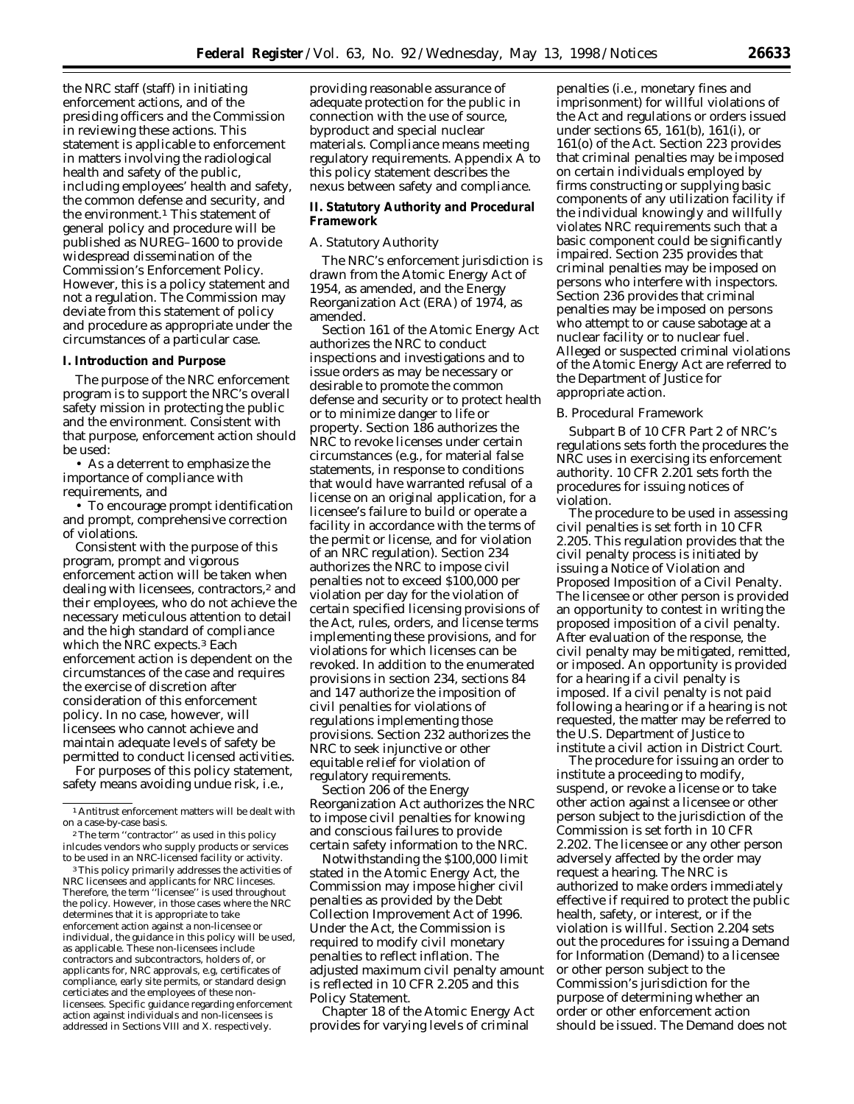the NRC staff (staff) in initiating enforcement actions, and of the presiding officers and the Commission in reviewing these actions. This statement is applicable to enforcement in matters involving the radiological health and safety of the public, including employees' health and safety, the common defense and security, and the environment.<sup>1</sup> This statement of general policy and procedure will be published as NUREG–1600 to provide widespread dissemination of the Commission's Enforcement Policy. However, this is a policy statement and not a regulation. The Commission may deviate from this statement of policy and procedure as appropriate under the circumstances of a particular case.

## **I. Introduction and Purpose**

The purpose of the NRC enforcement program is to support the NRC's overall safety mission in protecting the public and the environment. Consistent with that purpose, enforcement action should be used:

• As a deterrent to emphasize the importance of compliance with requirements, and

• To encourage prompt identification and prompt, comprehensive correction of violations.

Consistent with the purpose of this program, prompt and vigorous enforcement action will be taken when dealing with licensees, contractors,<sup>2</sup> and their employees, who do not achieve the necessary meticulous attention to detail and the high standard of compliance which the NRC expects.3 Each enforcement action is dependent on the circumstances of the case and requires the exercise of discretion after consideration of this enforcement policy. In no case, however, will licensees who cannot achieve and maintain adequate levels of safety be permitted to conduct licensed activities.

For purposes of this policy statement, safety means avoiding undue risk, i.e.,

3This policy primarily addresses the activities of NRC licensees and applicants for NRC linceses. Therefore, the term ''licensee'' is used throughout the policy. However, in those cases where the NRC determines that it is appropriate to take enforcement action against a non-licensee or individual, the guidance in this policy will be used, as applicable. These non-licensees include contractors and subcontractors, holders of, or applicants for, NRC approvals, e.g, certificates of compliance, early site permits, or standard design certiciates and the employees of these nonlicensees. Specific guidance regarding enforcement action against individuals and non-licensees is addressed in Sections VIII and X. respectively.

providing reasonable assurance of adequate protection for the public in connection with the use of source, byproduct and special nuclear materials. Compliance means meeting regulatory requirements. Appendix A to this policy statement describes the nexus between safety and compliance.

# **II. Statutory Authority and Procedural Framework**

## *A. Statutory Authority*

The NRC's enforcement jurisdiction is drawn from the Atomic Energy Act of 1954, as amended, and the Energy Reorganization Act (ERA) of 1974, as amended.

Section 161 of the Atomic Energy Act authorizes the NRC to conduct inspections and investigations and to issue orders as may be necessary or desirable to promote the common defense and security or to protect health or to minimize danger to life or property. Section 186 authorizes the NRC to revoke licenses under certain circumstances (e.g., for material false statements, in response to conditions that would have warranted refusal of a license on an original application, for a licensee's failure to build or operate a facility in accordance with the terms of the permit or license, and for violation of an NRC regulation). Section 234 authorizes the NRC to impose civil penalties not to exceed \$100,000 per violation per day for the violation of certain specified licensing provisions of the Act, rules, orders, and license terms implementing these provisions, and for violations for which licenses can be revoked. In addition to the enumerated provisions in section 234, sections 84 and 147 authorize the imposition of civil penalties for violations of regulations implementing those provisions. Section 232 authorizes the NRC to seek injunctive or other equitable relief for violation of regulatory requirements.

Section 206 of the Energy Reorganization Act authorizes the NRC to impose civil penalties for knowing and conscious failures to provide certain safety information to the NRC.

Notwithstanding the \$100,000 limit stated in the Atomic Energy Act, the Commission may impose higher civil penalties as provided by the Debt Collection Improvement Act of 1996. Under the Act, the Commission is required to modify civil monetary penalties to reflect inflation. The adjusted maximum civil penalty amount is reflected in 10 CFR 2.205 and this Policy Statement.

Chapter 18 of the Atomic Energy Act provides for varying levels of criminal

penalties (i.e., monetary fines and imprisonment) for willful violations of the Act and regulations or orders issued under sections 65, 161(b), 161(i), or 161(o) of the Act. Section 223 provides that criminal penalties may be imposed on certain individuals employed by firms constructing or supplying basic components of any utilization facility if the individual knowingly and willfully violates NRC requirements such that a basic component could be significantly impaired. Section 235 provides that criminal penalties may be imposed on persons who interfere with inspectors. Section 236 provides that criminal penalties may be imposed on persons who attempt to or cause sabotage at a nuclear facility or to nuclear fuel. Alleged or suspected criminal violations of the Atomic Energy Act are referred to the Department of Justice for appropriate action.

#### *B. Procedural Framework*

Subpart B of 10 CFR Part 2 of NRC's regulations sets forth the procedures the NRC uses in exercising its enforcement authority. 10 CFR 2.201 sets forth the procedures for issuing notices of violation.

The procedure to be used in assessing civil penalties is set forth in 10 CFR 2.205. This regulation provides that the civil penalty process is initiated by issuing a Notice of Violation and Proposed Imposition of a Civil Penalty. The licensee or other person is provided an opportunity to contest in writing the proposed imposition of a civil penalty. After evaluation of the response, the civil penalty may be mitigated, remitted, or imposed. An opportunity is provided for a hearing if a civil penalty is imposed. If a civil penalty is not paid following a hearing or if a hearing is not requested, the matter may be referred to the U.S. Department of Justice to institute a civil action in District Court.

The procedure for issuing an order to institute a proceeding to modify, suspend, or revoke a license or to take other action against a licensee or other person subject to the jurisdiction of the Commission is set forth in 10 CFR 2.202. The licensee or any other person adversely affected by the order may request a hearing. The NRC is authorized to make orders immediately effective if required to protect the public health, safety, or interest, or if the violation is willful. Section 2.204 sets out the procedures for issuing a Demand for Information (Demand) to a licensee or other person subject to the Commission's jurisdiction for the purpose of determining whether an order or other enforcement action should be issued. The Demand does not

<sup>1</sup>Antitrust enforcement matters will be dealt with on a case-by-case basis.

<sup>2</sup>The term ''contractor'' as used in this policy inlcudes vendors who supply products or services to be used in an NRC-licensed facility or activity.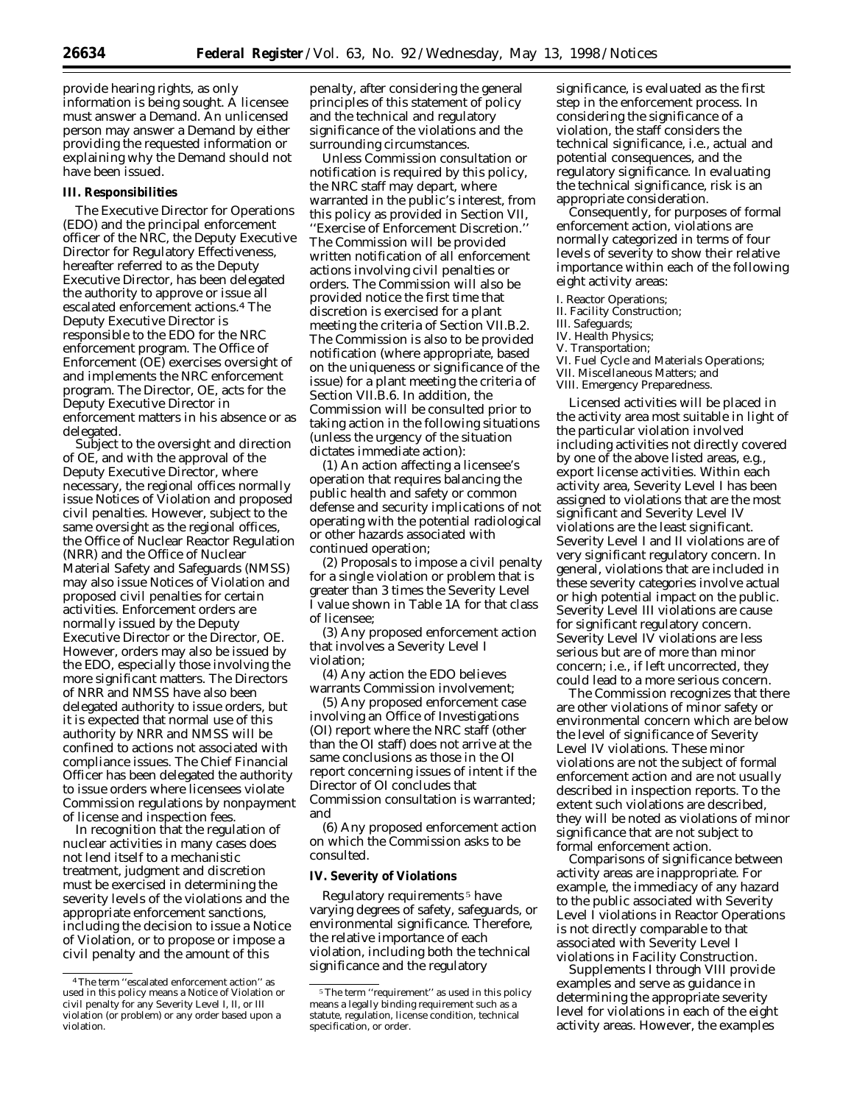provide hearing rights, as only information is being sought. A licensee must answer a Demand. An unlicensed person may answer a Demand by either providing the requested information or explaining why the Demand should not have been issued.

#### **III. Responsibilities**

The Executive Director for Operations (EDO) and the principal enforcement officer of the NRC, the Deputy Executive Director for Regulatory Effectiveness, hereafter referred to as the Deputy Executive Director, has been delegated the authority to approve or issue all escalated enforcement actions.4 The Deputy Executive Director is responsible to the EDO for the NRC enforcement program. The Office of Enforcement (OE) exercises oversight of and implements the NRC enforcement program. The Director, OE, acts for the Deputy Executive Director in enforcement matters in his absence or as delegated.

Subject to the oversight and direction of OE, and with the approval of the Deputy Executive Director, where necessary, the regional offices normally issue Notices of Violation and proposed civil penalties. However, subject to the same oversight as the regional offices, the Office of Nuclear Reactor Regulation (NRR) and the Office of Nuclear Material Safety and Safeguards (NMSS) may also issue Notices of Violation and proposed civil penalties for certain activities. Enforcement orders are normally issued by the Deputy Executive Director or the Director, OE. However, orders may also be issued by the EDO, especially those involving the more significant matters. The Directors of NRR and NMSS have also been delegated authority to issue orders, but it is expected that normal use of this authority by NRR and NMSS will be confined to actions not associated with compliance issues. The Chief Financial Officer has been delegated the authority to issue orders where licensees violate Commission regulations by nonpayment of license and inspection fees.

In recognition that the regulation of nuclear activities in many cases does not lend itself to a mechanistic treatment, judgment and discretion must be exercised in determining the severity levels of the violations and the appropriate enforcement sanctions, including the decision to issue a Notice of Violation, or to propose or impose a civil penalty and the amount of this

penalty, after considering the general principles of this statement of policy and the technical and regulatory significance of the violations and the surrounding circumstances.

Unless Commission consultation or notification is required by this policy, the NRC staff may depart, where warranted in the public's interest, from this policy as provided in Section VII, ''Exercise of Enforcement Discretion.'' The Commission will be provided written notification of all enforcement actions involving civil penalties or orders. The Commission will also be provided notice the first time that discretion is exercised for a plant meeting the criteria of Section VII.B.2. The Commission is also to be provided notification (where appropriate, based on the uniqueness or significance of the issue) for a plant meeting the criteria of Section VII.B.6. In addition, the Commission will be consulted prior to taking action in the following situations (unless the urgency of the situation dictates immediate action):

(1) An action affecting a licensee's operation that requires balancing the public health and safety or common defense and security implications of not operating with the potential radiological or other hazards associated with continued operation;

(2) Proposals to impose a civil penalty for a single violation or problem that is greater than 3 times the Severity Level I value shown in Table 1A for that class of licensee;

(3) Any proposed enforcement action that involves a Severity Level I violation;

(4) Any action the EDO believes warrants Commission involvement;

(5) Any proposed enforcement case involving an Office of Investigations (OI) report where the NRC staff (other than the OI staff) does not arrive at the same conclusions as those in the OI report concerning issues of intent if the Director of OI concludes that Commission consultation is warranted; and

(6) Any proposed enforcement action on which the Commission asks to be consulted.

#### **IV. Severity of Violations**

Regulatory requirements 5 have varying degrees of safety, safeguards, or environmental significance. Therefore, the relative importance of each violation, including both the technical significance and the regulatory

significance, is evaluated as the first step in the enforcement process. In considering the significance of a violation, the staff considers the technical significance, i.e., actual and potential consequences, and the regulatory significance. In evaluating the technical significance, risk is an appropriate consideration.

Consequently, for purposes of formal enforcement action, violations are normally categorized in terms of four levels of severity to show their relative importance within each of the following eight activity areas:

#### I. Reactor Operations;

II. Facility Construction;

#### III. Safeguards;

- IV. Health Physics;
- V. Transportation;
- VI. Fuel Cycle and Materials Operations;
- VII. Miscellaneous Matters; and
- VIII. Emergency Preparedness.

Licensed activities will be placed in the activity area most suitable in light of the particular violation involved including activities not directly covered by one of the above listed areas, e.g., export license activities. Within each activity area, Severity Level I has been assigned to violations that are the most significant and Severity Level IV violations are the least significant. Severity Level I and II violations are of very significant regulatory concern. In general, violations that are included in these severity categories involve actual or high potential impact on the public. Severity Level III violations are cause for significant regulatory concern. Severity Level IV violations are less serious but are of more than minor concern; i.e., if left uncorrected, they could lead to a more serious concern.

The Commission recognizes that there are other violations of minor safety or environmental concern which are below the level of significance of Severity Level IV violations. These minor violations are not the subject of formal enforcement action and are not usually described in inspection reports. To the extent such violations are described, they will be noted as violations of minor significance that are not subject to formal enforcement action.

Comparisons of significance between activity areas are inappropriate. For example, the immediacy of any hazard to the public associated with Severity Level I violations in Reactor Operations is not directly comparable to that associated with Severity Level I violations in Facility Construction.

Supplements I through VIII provide examples and serve as guidance in determining the appropriate severity level for violations in each of the eight activity areas. However, the examples

<sup>4</sup>The term ''escalated enforcement action'' as used in this policy means a Notice of Violation or civil penalty for any Severity Level I, II, or III violation (or problem) or any order based upon a violation.

<sup>5</sup>The term ''requirement'' as used in this policy means a legally binding requirement such as a statute, regulation, license condition, technical specification, or order.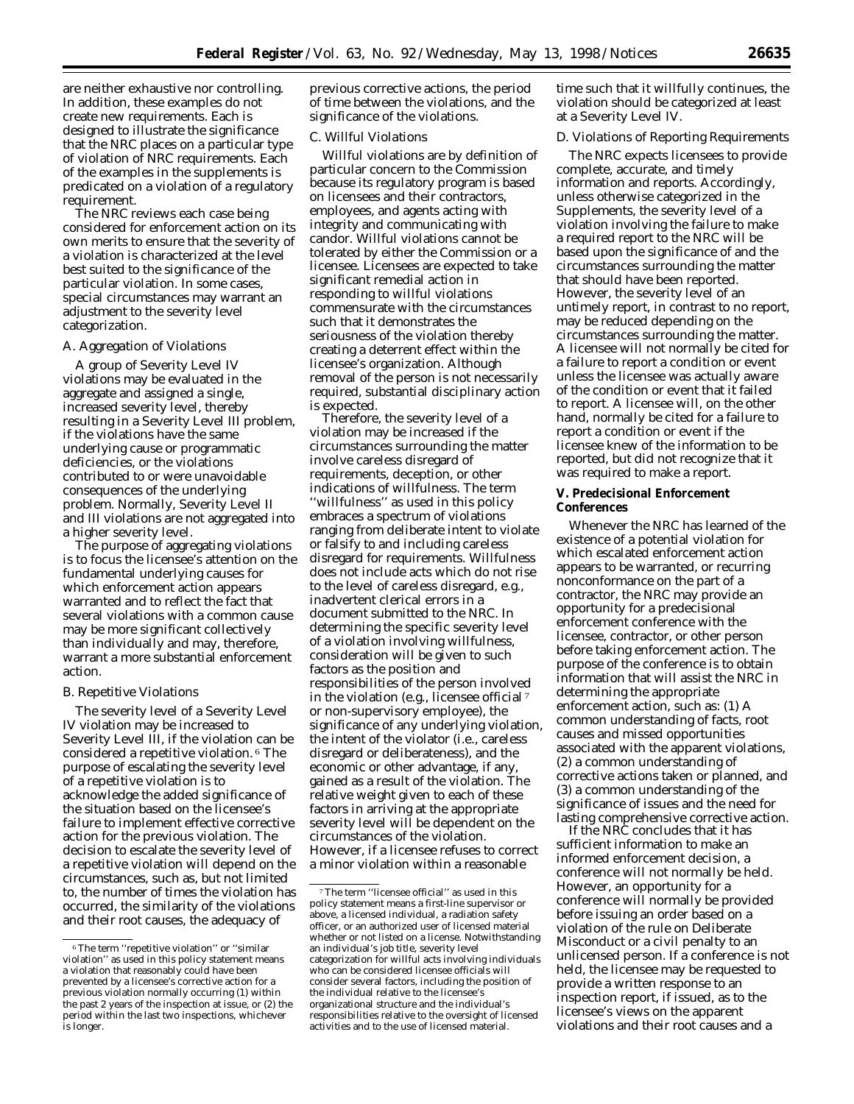are neither exhaustive nor controlling. In addition, these examples do not create new requirements. Each is designed to illustrate the significance that the NRC places on a particular type of violation of NRC requirements. Each of the examples in the supplements is predicated on a violation of a regulatory requirement.

The NRC reviews each case being considered for enforcement action on its own merits to ensure that the severity of a violation is characterized at the level best suited to the significance of the particular violation. In some cases, special circumstances may warrant an adjustment to the severity level categorization.

## *A. Aggregation of Violations*

A group of Severity Level IV violations may be evaluated in the aggregate and assigned a single, increased severity level, thereby resulting in a Severity Level III problem, if the violations have the same underlying cause or programmatic deficiencies, or the violations contributed to or were unavoidable consequences of the underlying problem. Normally, Severity Level II and III violations are not aggregated into a higher severity level.

The purpose of aggregating violations is to focus the licensee's attention on the fundamental underlying causes for which enforcement action appears warranted and to reflect the fact that several violations with a common cause may be more significant collectively than individually and may, therefore, warrant a more substantial enforcement action.

### *B. Repetitive Violations*

The severity level of a Severity Level IV violation may be increased to Severity Level III, if the violation can be considered a repetitive violation. 6 The purpose of escalating the severity level of a repetitive violation is to acknowledge the added significance of the situation based on the licensee's failure to implement effective corrective action for the previous violation. The decision to escalate the severity level of a repetitive violation will depend on the circumstances, such as, but not limited to, the number of times the violation has occurred, the similarity of the violations and their root causes, the adequacy of

previous corrective actions, the period of time between the violations, and the significance of the violations.

# *C. Willful Violations*

Willful violations are by definition of particular concern to the Commission because its regulatory program is based on licensees and their contractors, employees, and agents acting with integrity and communicating with candor. Willful violations cannot be tolerated by either the Commission or a licensee. Licensees are expected to take significant remedial action in responding to willful violations commensurate with the circumstances such that it demonstrates the seriousness of the violation thereby creating a deterrent effect within the licensee's organization. Although removal of the person is not necessarily required, substantial disciplinary action is expected.

Therefore, the severity level of a violation may be increased if the circumstances surrounding the matter involve careless disregard of requirements, deception, or other indications of willfulness. The term ''willfulness'' as used in this policy embraces a spectrum of violations ranging from deliberate intent to violate or falsify to and including careless disregard for requirements. Willfulness does not include acts which do not rise to the level of careless disregard, e.g., inadvertent clerical errors in a document submitted to the NRC. In determining the specific severity level of a violation involving willfulness, consideration will be given to such factors as the position and responsibilities of the person involved in the violation (e.g., licensee official 7 or non-supervisory employee), the significance of any underlying violation, the intent of the violator (i.e., careless disregard or deliberateness), and the economic or other advantage, if any, gained as a result of the violation. The relative weight given to each of these factors in arriving at the appropriate severity level will be dependent on the circumstances of the violation. However, if a licensee refuses to correct a minor violation within a reasonable

time such that it willfully continues, the violation should be categorized at least at a Severity Level IV.

#### *D. Violations of Reporting Requirements*

The NRC expects licensees to provide complete, accurate, and timely information and reports. Accordingly, unless otherwise categorized in the Supplements, the severity level of a violation involving the failure to make a required report to the NRC will be based upon the significance of and the circumstances surrounding the matter that should have been reported. However, the severity level of an untimely report, in contrast to no report, may be reduced depending on the circumstances surrounding the matter. A licensee will not normally be cited for a failure to report a condition or event unless the licensee was actually aware of the condition or event that it failed to report. A licensee will, on the other hand, normally be cited for a failure to report a condition or event if the licensee knew of the information to be reported, but did not recognize that it was required to make a report.

# **V. Predecisional Enforcement Conferences**

Whenever the NRC has learned of the existence of a potential violation for which escalated enforcement action appears to be warranted, or recurring nonconformance on the part of a contractor, the NRC may provide an opportunity for a predecisional enforcement conference with the licensee, contractor, or other person before taking enforcement action. The purpose of the conference is to obtain information that will assist the NRC in determining the appropriate enforcement action, such as: (1) A common understanding of facts, root causes and missed opportunities associated with the apparent violations, (2) a common understanding of corrective actions taken or planned, and (3) a common understanding of the significance of issues and the need for lasting comprehensive corrective action.

If the NRC concludes that it has sufficient information to make an informed enforcement decision, a conference will not normally be held. However, an opportunity for a conference will normally be provided before issuing an order based on a violation of the rule on Deliberate Misconduct or a civil penalty to an unlicensed person. If a conference is not held, the licensee may be requested to provide a written response to an inspection report, if issued, as to the licensee's views on the apparent violations and their root causes and a

<sup>6</sup>The term ''repetitive violation'' or ''similar violation'' as used in this policy statement means a violation that reasonably could have been prevented by a licensee's corrective action for a previous violation normally occurring (1) within the past 2 years of the inspection at issue, or (2) the period within the last two inspections, whichever is longer.

<sup>7</sup>The term ''licensee official'' as used in this policy statement means a first-line supervisor or above, a licensed individual, a radiation safety officer, or an authorized user of licensed material whether or not listed on a license. Notwithstanding an individual's job title, severity level categorization for willful acts involving individuals who can be considered licensee officials will consider several factors, including the position of the individual relative to the licensee's organizational structure and the individual's responsibilities relative to the oversight of licensed activities and to the use of licensed material.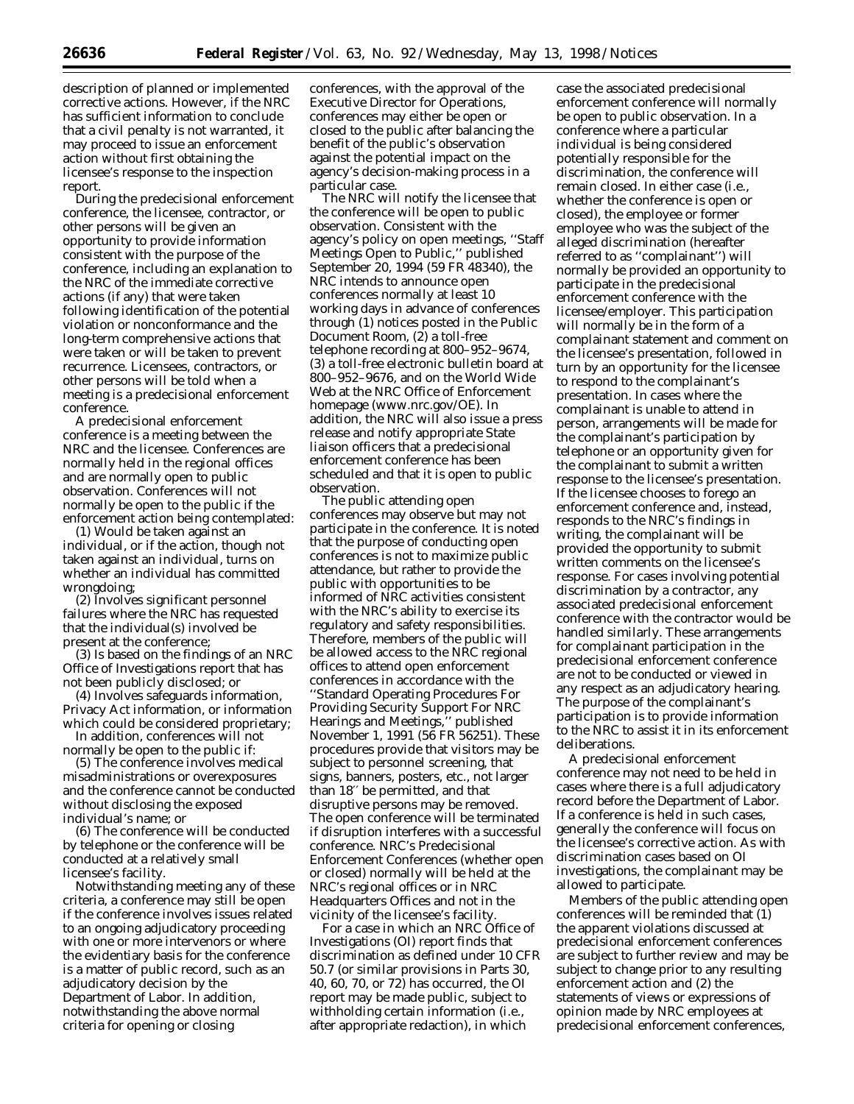description of planned or implemented corrective actions. However, if the NRC has sufficient information to conclude that a civil penalty is not warranted, it may proceed to issue an enforcement action without first obtaining the licensee's response to the inspection report.

During the predecisional enforcement conference, the licensee, contractor, or other persons will be given an opportunity to provide information consistent with the purpose of the conference, including an explanation to the NRC of the immediate corrective actions (if any) that were taken following identification of the potential violation or nonconformance and the long-term comprehensive actions that were taken or will be taken to prevent recurrence. Licensees, contractors, or other persons will be told when a meeting is a predecisional enforcement conference.

A predecisional enforcement conference is a meeting between the NRC and the licensee. Conferences are normally held in the regional offices and are normally open to public observation. Conferences will not normally be open to the public if the enforcement action being contemplated:

(1) Would be taken against an individual, or if the action, though not taken against an individual, turns on whether an individual has committed wrongdoing;

(2) Involves significant personnel failures where the NRC has requested that the individual(s) involved be present at the conference;

(3) Is based on the findings of an NRC Office of Investigations report that has not been publicly disclosed; or

(4) Involves safeguards information, Privacy Act information, or information which could be considered proprietary;

In addition, conferences will not normally be open to the public if:

(5) The conference involves medical misadministrations or overexposures and the conference cannot be conducted without disclosing the exposed individual's name; or

(6) The conference will be conducted by telephone or the conference will be conducted at a relatively small licensee's facility.

Notwithstanding meeting any of these criteria, a conference may still be open if the conference involves issues related to an ongoing adjudicatory proceeding with one or more intervenors or where the evidentiary basis for the conference is a matter of public record, such as an adjudicatory decision by the Department of Labor. In addition, notwithstanding the above normal criteria for opening or closing

conferences, with the approval of the Executive Director for Operations, conferences may either be open or closed to the public after balancing the benefit of the public's observation against the potential impact on the agency's decision-making process in a particular case.

The NRC will notify the licensee that the conference will be open to public observation. Consistent with the agency's policy on open meetings, ''Staff Meetings Open to Public,'' published September 20, 1994 (59 FR 48340), the NRC intends to announce open conferences normally at least 10 working days in advance of conferences through (1) notices posted in the Public Document Room, (2) a toll-free telephone recording at 800–952–9674, (3) a toll-free electronic bulletin board at 800–952–9676, and on the World Wide Web at the NRC Office of Enforcement homepage (www.nrc.gov/OE). In addition, the NRC will also issue a press release and notify appropriate State liaison officers that a predecisional enforcement conference has been scheduled and that it is open to public observation.

The public attending open conferences may observe but may not participate in the conference. It is noted that the purpose of conducting open conferences is not to maximize public attendance, but rather to provide the public with opportunities to be informed of NRC activities consistent with the NRC's ability to exercise its regulatory and safety responsibilities. Therefore, members of the public will be allowed access to the NRC regional offices to attend open enforcement conferences in accordance with the ''Standard Operating Procedures For Providing Security Support For NRC Hearings and Meetings,'' published November 1, 1991 (56 FR 56251). These procedures provide that visitors may be subject to personnel screening, that signs, banners, posters, etc., not larger than 18′′ be permitted, and that disruptive persons may be removed. The open conference will be terminated if disruption interferes with a successful conference. NRC's Predecisional Enforcement Conferences (whether open or closed) normally will be held at the NRC's regional offices or in NRC Headquarters Offices and not in the vicinity of the licensee's facility.

For a case in which an NRC Office of Investigations (OI) report finds that discrimination as defined under 10 CFR 50.7 (or similar provisions in Parts 30, 40, 60, 70, or 72) has occurred, the OI report may be made public, subject to withholding certain information (i.e., after appropriate redaction), in which

case the associated predecisional enforcement conference will normally be open to public observation. In a conference where a particular individual is being considered potentially responsible for the discrimination, the conference will remain closed. In either case (i.e., whether the conference is open or closed), the employee or former employee who was the subject of the alleged discrimination (hereafter referred to as ''complainant'') will normally be provided an opportunity to participate in the predecisional enforcement conference with the licensee/employer. This participation will normally be in the form of a complainant statement and comment on the licensee's presentation, followed in turn by an opportunity for the licensee to respond to the complainant's presentation. In cases where the complainant is unable to attend in person, arrangements will be made for the complainant's participation by telephone or an opportunity given for the complainant to submit a written response to the licensee's presentation. If the licensee chooses to forego an enforcement conference and, instead, responds to the NRC's findings in writing, the complainant will be provided the opportunity to submit written comments on the licensee's response. For cases involving potential discrimination by a contractor, any associated predecisional enforcement conference with the contractor would be handled similarly. These arrangements for complainant participation in the predecisional enforcement conference are not to be conducted or viewed in any respect as an adjudicatory hearing. The purpose of the complainant's participation is to provide information to the NRC to assist it in its enforcement deliberations.

A predecisional enforcement conference may not need to be held in cases where there is a full adjudicatory record before the Department of Labor. If a conference is held in such cases, generally the conference will focus on the licensee's corrective action. As with discrimination cases based on OI investigations, the complainant may be allowed to participate.

Members of the public attending open conferences will be reminded that (1) the apparent violations discussed at predecisional enforcement conferences are subject to further review and may be subject to change prior to any resulting enforcement action and (2) the statements of views or expressions of opinion made by NRC employees at predecisional enforcement conferences,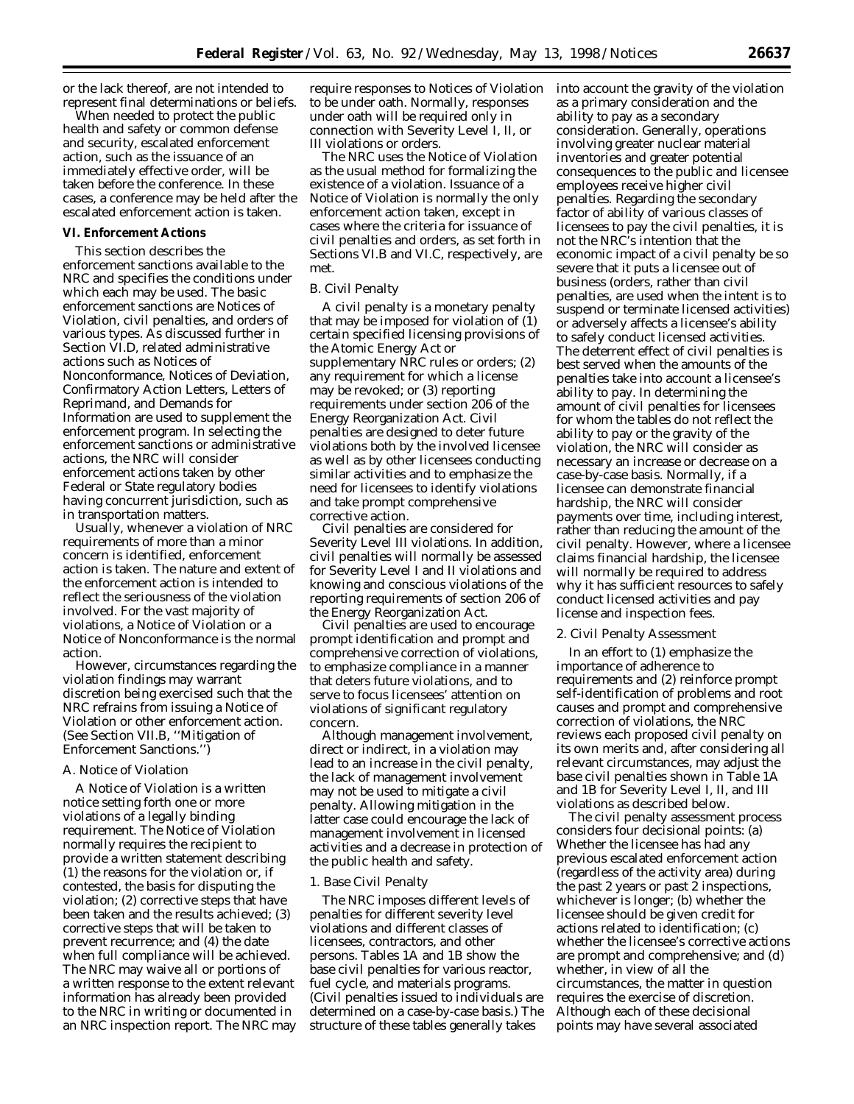or the lack thereof, are not intended to represent final determinations or beliefs.

When needed to protect the public health and safety or common defense and security, escalated enforcement action, such as the issuance of an immediately effective order, will be taken before the conference. In these cases, a conference may be held after the escalated enforcement action is taken.

#### **VI. Enforcement Actions**

This section describes the enforcement sanctions available to the NRC and specifies the conditions under which each may be used. The basic enforcement sanctions are Notices of Violation, civil penalties, and orders of various types. As discussed further in Section VI.D, related administrative actions such as Notices of Nonconformance, Notices of Deviation, Confirmatory Action Letters, Letters of Reprimand, and Demands for Information are used to supplement the enforcement program. In selecting the enforcement sanctions or administrative actions, the NRC will consider enforcement actions taken by other Federal or State regulatory bodies having concurrent jurisdiction, such as in transportation matters.

Usually, whenever a violation of NRC requirements of more than a minor concern is identified, enforcement action is taken. The nature and extent of the enforcement action is intended to reflect the seriousness of the violation involved. For the vast majority of violations, a Notice of Violation or a Notice of Nonconformance is the normal action.

However, circumstances regarding the violation findings may warrant discretion being exercised such that the NRC refrains from issuing a Notice of Violation or other enforcement action. (See Section VII.B, ''Mitigation of Enforcement Sanctions.'')

#### *A. Notice of Violation*

A Notice of Violation is a written notice setting forth one or more violations of a legally binding requirement. The Notice of Violation normally requires the recipient to provide a written statement describing (1) the reasons for the violation or, if contested, the basis for disputing the violation; (2) corrective steps that have been taken and the results achieved; (3) corrective steps that will be taken to prevent recurrence; and (4) the date when full compliance will be achieved. The NRC may waive all or portions of a written response to the extent relevant information has already been provided to the NRC in writing or documented in an NRC inspection report. The NRC may

require responses to Notices of Violation to be under oath. Normally, responses under oath will be required only in connection with Severity Level I, II, or III violations or orders.

The NRC uses the Notice of Violation as the usual method for formalizing the existence of a violation. Issuance of a Notice of Violation is normally the only enforcement action taken, except in cases where the criteria for issuance of civil penalties and orders, as set forth in Sections VI.B and VI.C, respectively, are met.

# *B. Civil Penalty*

A civil penalty is a monetary penalty that may be imposed for violation of (1) certain specified licensing provisions of the Atomic Energy Act or supplementary NRC rules or orders; (2) any requirement for which a license may be revoked; or (3) reporting requirements under section 206 of the Energy Reorganization Act. Civil penalties are designed to deter future violations both by the involved licensee as well as by other licensees conducting similar activities and to emphasize the need for licensees to identify violations and take prompt comprehensive corrective action.

Civil penalties are considered for Severity Level III violations. In addition, civil penalties will normally be assessed for Severity Level I and II violations and knowing and conscious violations of the reporting requirements of section 206 of the Energy Reorganization Act.

Civil penalties are used to encourage prompt identification and prompt and comprehensive correction of violations, to emphasize compliance in a manner that deters future violations, and to serve to focus licensees' attention on violations of significant regulatory concern.

Although management involvement, direct or indirect, in a violation may lead to an increase in the civil penalty, the lack of management involvement may not be used to mitigate a civil penalty. Allowing mitigation in the latter case could encourage the lack of management involvement in licensed activities and a decrease in protection of the public health and safety.

## 1. Base Civil Penalty

The NRC imposes different levels of penalties for different severity level violations and different classes of licensees, contractors, and other persons. Tables 1A and 1B show the base civil penalties for various reactor, fuel cycle, and materials programs. (Civil penalties issued to individuals are determined on a case-by-case basis.) The structure of these tables generally takes

into account the gravity of the violation as a primary consideration and the ability to pay as a secondary consideration. Generally, operations involving greater nuclear material inventories and greater potential consequences to the public and licensee employees receive higher civil penalties. Regarding the secondary factor of ability of various classes of licensees to pay the civil penalties, it is not the NRC's intention that the economic impact of a civil penalty be so severe that it puts a licensee out of business (orders, rather than civil penalties, are used when the intent is to suspend or terminate licensed activities) or adversely affects a licensee's ability to safely conduct licensed activities. The deterrent effect of civil penalties is best served when the amounts of the penalties take into account a licensee's ability to pay. In determining the amount of civil penalties for licensees for whom the tables do not reflect the ability to pay or the gravity of the violation, the NRC will consider as necessary an increase or decrease on a case-by-case basis. Normally, if a licensee can demonstrate financial hardship, the NRC will consider payments over time, including interest, rather than reducing the amount of the civil penalty. However, where a licensee claims financial hardship, the licensee will normally be required to address why it has sufficient resources to safely conduct licensed activities and pay license and inspection fees.

#### 2. Civil Penalty Assessment

In an effort to (1) emphasize the importance of adherence to requirements and (2) reinforce prompt self-identification of problems and root causes and prompt and comprehensive correction of violations, the NRC reviews each proposed civil penalty on its own merits and, after considering all relevant circumstances, may adjust the base civil penalties shown in Table 1A and 1B for Severity Level I, II, and III violations as described below.

The civil penalty assessment process considers four decisional points: (a) Whether the licensee has had any previous escalated enforcement action (regardless of the activity area) during the past 2 years or past 2 inspections, whichever is longer; (b) whether the licensee should be given credit for actions related to identification; (c) whether the licensee's corrective actions are prompt and comprehensive; and (d) whether, in view of all the circumstances, the matter in question requires the exercise of discretion. Although each of these decisional points may have several associated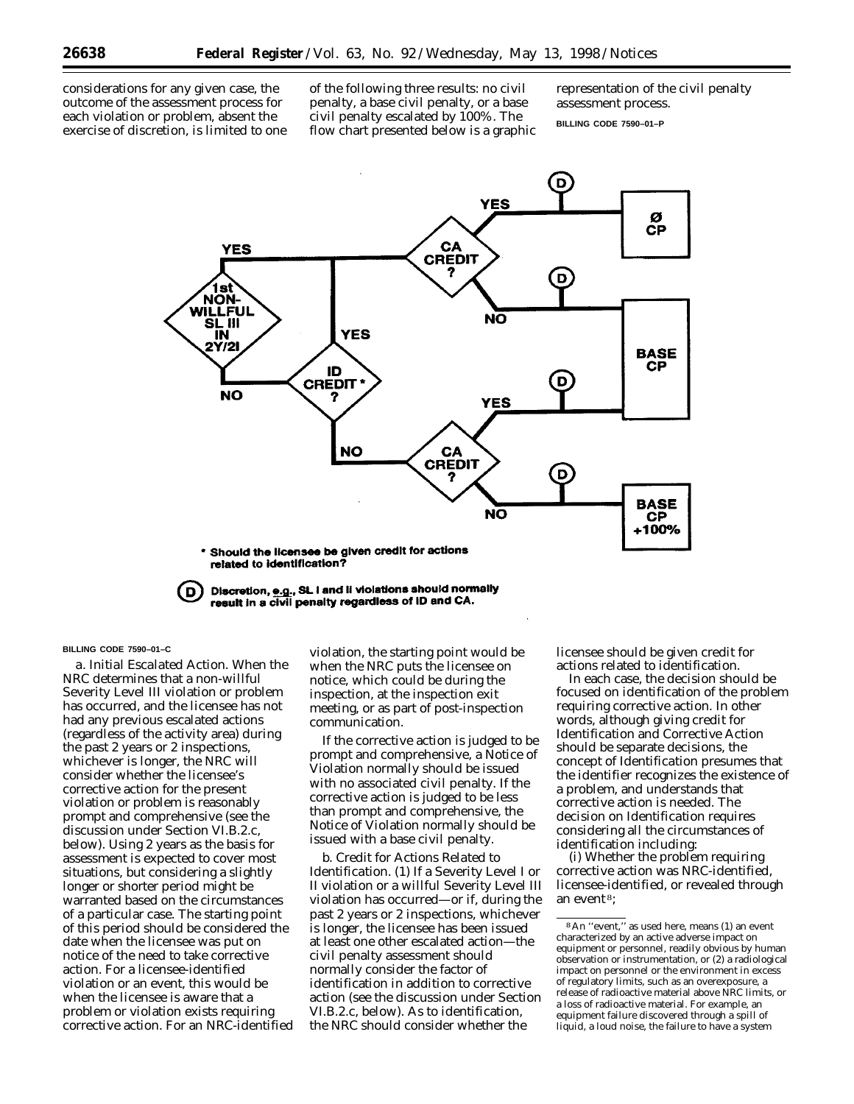considerations for any given case, the outcome of the assessment process for each violation or problem, absent the exercise of discretion, is limited to one of the following three results: no civil penalty, a base civil penalty, or a base civil penalty escalated by 100%. The flow chart presented below is a graphic representation of the civil penalty assessment process.

**BILLING CODE 7590–01–P**



Discretion, e.g., SL I and II violations should normally (D result in a civil penalty regardless of ID and CA.

#### **BILLING CODE 7590–01–C**

*a. Initial Escalated Action.* When the NRC determines that a non-willful Severity Level III violation or problem has occurred, and the licensee has not had any previous escalated actions (regardless of the activity area) during the past 2 years or 2 inspections, whichever is longer, the NRC will consider whether the licensee's corrective action for the present violation or problem is reasonably prompt and comprehensive (see the discussion under Section VI.B.2.c, below). Using 2 years as the basis for assessment is expected to cover most situations, but considering a slightly longer or shorter period might be warranted based on the circumstances of a particular case. The starting point of this period should be considered the date when the licensee was put on notice of the need to take corrective action. For a licensee-identified violation or an event, this would be when the licensee is aware that a problem or violation exists requiring corrective action. For an NRC-identified violation, the starting point would be when the NRC puts the licensee on notice, which could be during the inspection, at the inspection exit meeting, or as part of post-inspection communication.

If the corrective action is judged to be prompt and comprehensive, a Notice of Violation normally should be issued with no associated civil penalty. If the corrective action is judged to be less than prompt and comprehensive, the Notice of Violation normally should be issued with a base civil penalty.

*b. Credit for Actions Related to Identification.* (1) If a Severity Level I or II violation or a willful Severity Level III violation has occurred—or if, during the past 2 years or 2 inspections, whichever is longer, the licensee has been issued at least one other escalated action—the civil penalty assessment should normally consider the factor of identification in addition to corrective action (see the discussion under Section VI.B.2.c, below). As to identification, the NRC should consider whether the

licensee should be given credit for actions related to identification.

In each case, the decision should be focused on identification of the problem requiring corrective action. In other words, although giving credit for *Identification* and *Corrective Action* should be separate decisions, the concept of *Identification* presumes that the identifier recognizes the existence of a problem, and understands that corrective action is needed. The decision on *Identification* requires considering all the circumstances of identification including:

(i) Whether the problem requiring corrective action was NRC-identified, licensee-identified, or revealed through an event 8;

<sup>8</sup>An ''event,'' as used here, means (1) an event characterized by an active adverse impact on equipment or personnel, readily obvious by human observation or instrumentation, or (2) a radiological impact on personnel or the environment in excess of regulatory limits, such as an overexposure, a release of radioactive material above NRC limits, or a loss of radioactive material. For example, an equipment failure discovered through a spill of liquid, a loud noise, the failure to have a system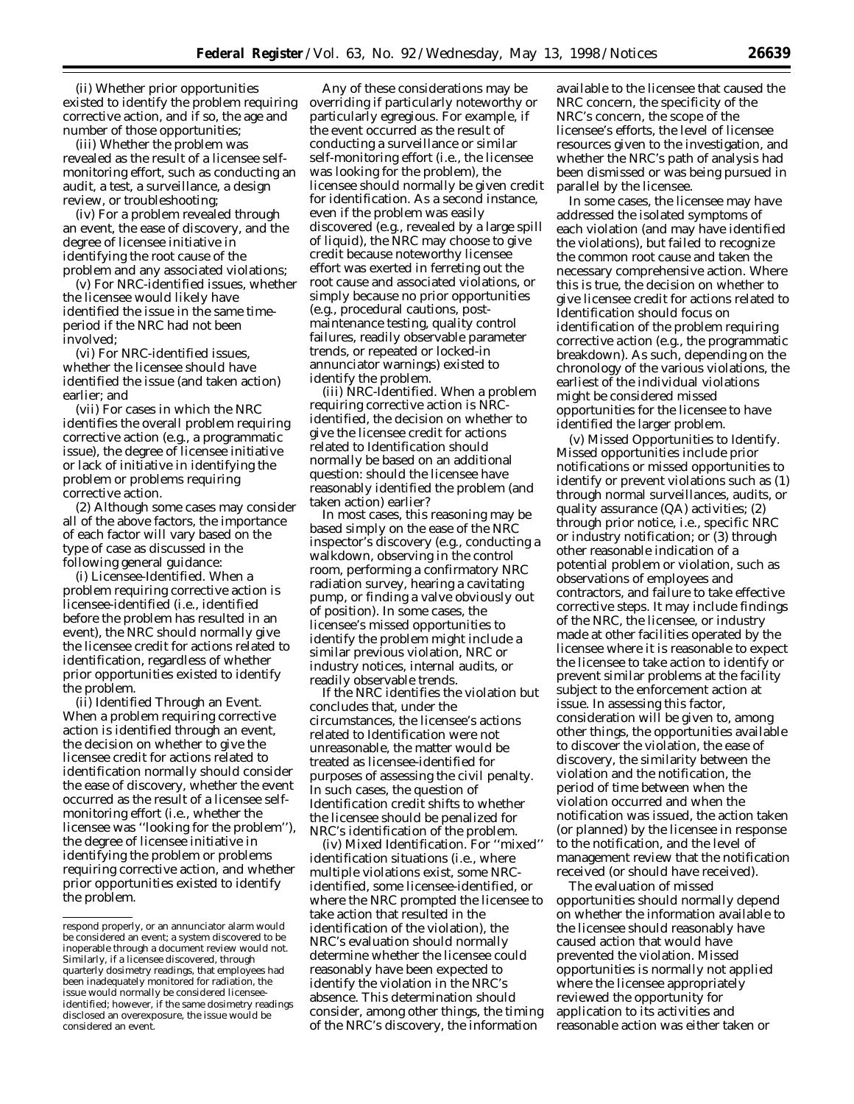(ii) Whether prior opportunities existed to identify the problem requiring corrective action, and if so, the age and number of those opportunities;

(iii) Whether the problem was revealed as the result of a licensee selfmonitoring effort, such as conducting an audit, a test, a surveillance, a design review, or troubleshooting;

(iv) For a problem revealed through an event, the ease of discovery, and the degree of licensee initiative in identifying the root cause of the problem and any associated violations;

(v) For NRC-identified issues, whether the licensee would likely have identified the issue in the same timeperiod if the NRC had not been involved;

(vi) For NRC-identified issues, whether the licensee should have identified the issue (and taken action) earlier; and

(vii) For cases in which the NRC identifies the overall problem requiring corrective action (e.g., a programmatic issue), the degree of licensee initiative or lack of initiative in identifying the problem or problems requiring corrective action.

(2) Although some cases may consider all of the above factors, the importance of each factor will vary based on the type of case as discussed in the following general guidance:

(i) Licensee-Identified. When a problem requiring corrective action is licensee-identified (i.e., identified before the problem has resulted in an event), the NRC should normally give the licensee credit for actions related to identification, regardless of whether prior opportunities existed to identify the problem.

(ii) Identified Through an Event. When a problem requiring corrective action is identified through an event, the decision on whether to give the licensee credit for actions related to identification normally should consider the ease of discovery, whether the event occurred as the result of a licensee selfmonitoring effort (i.e., whether the licensee was ''looking for the problem''), the degree of licensee initiative in identifying the problem or problems requiring corrective action, and whether prior opportunities existed to identify the problem.

Any of these considerations may be overriding if particularly noteworthy or particularly egregious. For example, if the event occurred as the result of conducting a surveillance or similar self-monitoring effort (i.e., the licensee was looking for the problem), the licensee should normally be given credit for identification. As a second instance, even if the problem was easily discovered (e.g., revealed by a large spill of liquid), the NRC may choose to give credit because noteworthy licensee effort was exerted in ferreting out the root cause and associated violations, or simply because no prior opportunities (e.g., procedural cautions, postmaintenance testing, quality control failures, readily observable parameter trends, or repeated or locked-in annunciator warnings) existed to identify the problem.

(iii) NRC-Identified. When a problem requiring corrective action is NRCidentified, the decision on whether to give the licensee credit for actions related to *Identification* should normally be based on an additional question: should the licensee have reasonably identified the problem (and taken action) earlier?

In most cases, this reasoning may be based simply on the ease of the NRC inspector's discovery (e.g., conducting a walkdown, observing in the control room, performing a confirmatory NRC radiation survey, hearing a cavitating pump, or finding a valve obviously out of position). In some cases, the licensee's missed opportunities to identify the problem might include a similar previous violation, NRC or industry notices, internal audits, or readily observable trends.

If the NRC identifies the violation but concludes that, under the circumstances, the licensee's actions related to *Identification* were not unreasonable, the matter would be treated as licensee-identified for purposes of assessing the civil penalty. In such cases, the question of *Identification* credit shifts to whether the licensee should be penalized for NRC's identification of the problem.

(iv) Mixed Identification. For ''mixed'' identification situations (i.e., where multiple violations exist, some NRCidentified, some licensee-identified, or where the NRC prompted the licensee to take action that resulted in the identification of the violation), the NRC's evaluation should normally determine whether the licensee could reasonably have been expected to identify the violation in the NRC's absence. This determination should consider, among other things, the timing of the NRC's discovery, the information

available to the licensee that caused the NRC concern, the specificity of the NRC's concern, the scope of the licensee's efforts, the level of licensee resources given to the investigation, and whether the NRC's path of analysis had been dismissed or was being pursued in parallel by the licensee.

In some cases, the licensee may have addressed the isolated symptoms of each violation (and may have identified the violations), but failed to recognize the common root cause and taken the necessary comprehensive action. Where this is true, the decision on whether to give licensee credit for actions related to *Identification* should focus on identification of *the problem requiring corrective action* (e.g., the programmatic breakdown). As such, depending on the chronology of the various violations, the earliest of the individual violations might be considered missed opportunities for the licensee to have identified the larger problem.

(v) Missed Opportunities to Identify. Missed opportunities include prior notifications or missed opportunities to identify or prevent violations such as (1) through normal surveillances, audits, or quality assurance (QA) activities; (2) through prior notice, i.e., specific NRC or industry notification; or (3) through other reasonable indication of a potential problem or violation, such as observations of employees and contractors, and failure to take effective corrective steps. It may include findings of the NRC, the licensee, or industry made at other facilities operated by the licensee where it is reasonable to expect the licensee to take action to identify or prevent similar problems at the facility subject to the enforcement action at issue. In assessing this factor, consideration will be given to, among other things, the opportunities available to discover the violation, the ease of discovery, the similarity between the violation and the notification, the period of time between when the violation occurred and when the notification was issued, the action taken (or planned) by the licensee in response to the notification, and the level of management review that the notification received (or should have received).

The evaluation of missed opportunities should normally depend on whether the information available to the licensee should reasonably have caused action that would have prevented the violation. Missed opportunities is normally not applied where the licensee appropriately reviewed the opportunity for application to its activities and reasonable action was either taken or

respond properly, or an annunciator alarm would be considered an event; a system discovered to be inoperable through a document review would not. Similarly, if a licensee discovered, through quarterly dosimetry readings, that employees had been inadequately monitored for radiation, the issue would normally be considered licenseeidentified; however, if the same dosimetry readings disclosed an overexposure, the issue would be considered an event.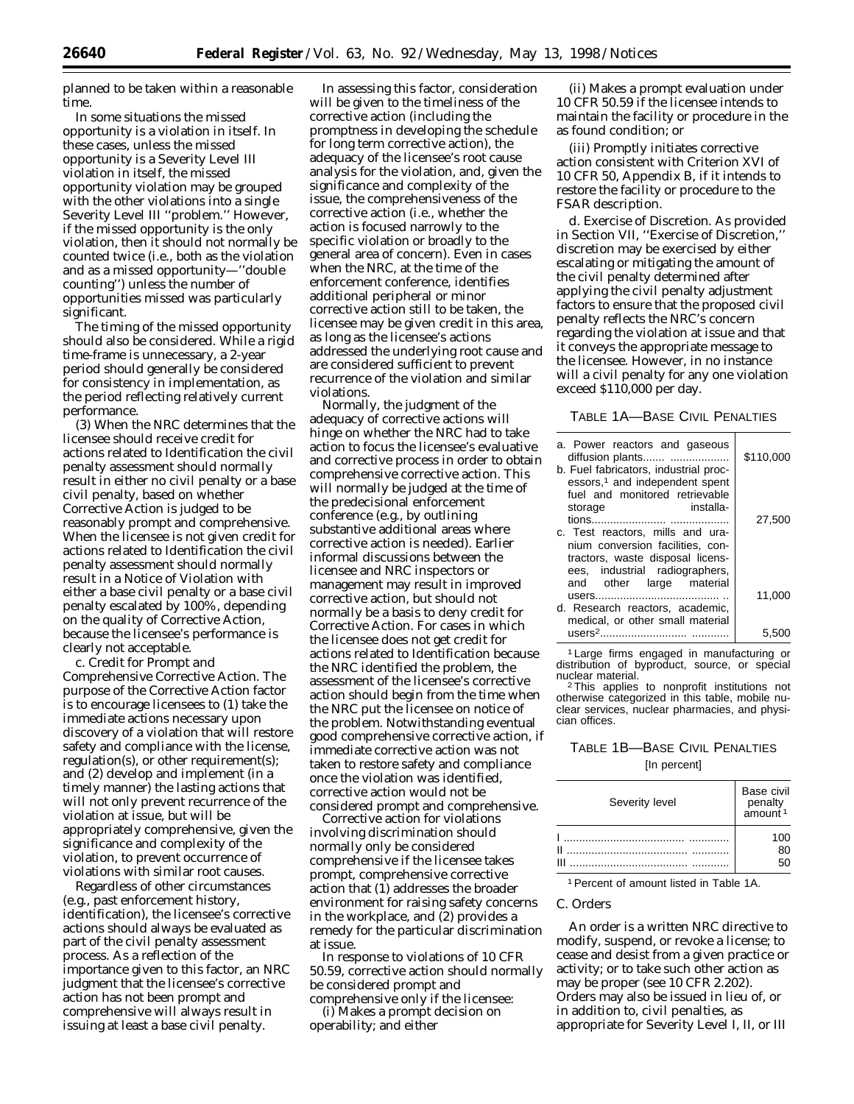planned to be taken within a reasonable time.

In some situations the missed opportunity is a violation in itself. In these cases, unless the missed opportunity is a Severity Level III violation in itself, the missed opportunity violation may be grouped with the other violations into a single Severity Level III ''problem.'' However, if the missed opportunity is the *only* violation, then it should not normally be counted twice (i.e., both as the violation and as a missed opportunity—''double counting'') unless the number of opportunities missed was particularly significant.

The timing of the missed opportunity should also be considered. While a rigid time-frame is unnecessary, a 2-year period should generally be considered for consistency in implementation, as the period reflecting relatively current performance.

(3) When the NRC determines that the licensee should receive credit for actions related to *Identification* the civil penalty assessment should normally result in either no civil penalty or a base civil penalty, based on whether *Corrective Action* is judged to be reasonably prompt and comprehensive. When the licensee is *not* given credit for actions related to *Identification* the civil penalty assessment should normally result in a Notice of Violation with either a base civil penalty or a base civil penalty escalated by 100%, depending on the quality of *Corrective Action,* because the licensee's performance is clearly not acceptable.

*c. Credit for Prompt and Comprehensive Corrective Action*. The purpose of the *Corrective Action* factor is to encourage licensees to (1) take the immediate actions necessary upon discovery of a violation that will restore safety and compliance with the license, regulation(s), or other requirement(s); and (2) develop and implement (in a timely manner) the lasting actions that will not only prevent recurrence of the violation at issue, but will be appropriately comprehensive, given the significance and complexity of the violation, to prevent occurrence of violations with similar root causes.

Regardless of other circumstances (e.g., past enforcement history, identification), the licensee's corrective actions should always be evaluated as part of the civil penalty assessment process. As a reflection of the importance given to this factor, an NRC judgment that the licensee's corrective action has not been prompt and comprehensive will always result in issuing at least a base civil penalty.

In assessing this factor, consideration will be given to the timeliness of the corrective action (including the promptness in developing the schedule for long term corrective action), the adequacy of the licensee's root cause analysis for the violation, and, given the significance and complexity of the issue, the comprehensiveness of the corrective action (i.e., whether the action is focused narrowly to the specific violation or broadly to the general area of concern). Even in cases when the NRC, at the time of the enforcement conference, identifies additional peripheral or minor corrective action still to be taken, the licensee may be given credit in this area, as long as the licensee's actions addressed the underlying root cause and are considered sufficient to prevent recurrence of the violation and similar violations.

Normally, the judgment of the adequacy of corrective actions will hinge on whether the NRC had to take action to focus the licensee's evaluative and corrective process in order to obtain comprehensive corrective action. This will normally be judged at the time of the predecisional enforcement conference (e.g., by outlining substantive additional areas where corrective action is needed). Earlier informal discussions between the licensee and NRC inspectors or management may result in improved corrective action, but should not normally be a basis to deny credit for *Corrective Action*. For cases in which the licensee does not get credit for actions related to *Identification* because the NRC identified the problem, the assessment of the licensee's corrective action should begin from the time when the NRC put the licensee on notice of the problem. Notwithstanding eventual good comprehensive corrective action, if immediate corrective action was not taken to restore safety and compliance once the violation was identified, corrective action would not be considered prompt and comprehensive.

Corrective action for violations involving discrimination should normally only be considered comprehensive if the licensee takes prompt, comprehensive corrective action that (1) addresses the broader environment for raising safety concerns in the workplace, and (2) provides a remedy for the particular discrimination at issue.

In response to violations of 10 CFR 50.59, corrective action should normally be considered prompt and comprehensive only if the licensee:

(i) Makes a prompt decision on operability; and either

(ii) Makes a prompt evaluation under 10 CFR 50.59 if the licensee intends to maintain the facility or procedure in the as found condition; or

(iii) Promptly initiates corrective action consistent with Criterion XVI of 10 CFR 50, Appendix B, if it intends to restore the facility or procedure to the FSAR description.

*d. Exercise of Discretion.* As provided in Section VII, ''Exercise of Discretion,'' discretion may be exercised by either escalating or mitigating the amount of the civil penalty determined after applying the civil penalty adjustment factors to ensure that the proposed civil penalty reflects the NRC's concern regarding the violation at issue and that it conveys the appropriate message to the licensee. However, in no instance will a civil penalty for any one violation exceed \$110,000 per day.

# TABLE 1A—BASE CIVIL PENALTIES

| a. Power reactors and gaseous<br>diffusion plants<br>b. Fuel fabricators, industrial proc-               | \$110,000 |
|----------------------------------------------------------------------------------------------------------|-----------|
| essors, <sup>1</sup> and independent spent<br>fuel and monitored retrievable<br>installa-<br>storage     |           |
| c. Test reactors, mills and ura-<br>nium conversion facilities, con-<br>tractors, waste disposal licens- | 27,500    |
| ees, industrial radiographers,<br>and other large material                                               | 11.000    |
| d. Research reactors, academic,<br>medical, or other small material<br>$users2$ .                        | 5.50      |

1 Large firms engaged in manufacturing or distribution of byproduct, source, or special nuclear material.

<sup>2</sup>This applies to nonprofit institutions not otherwise categorized in this table, mobile nuclear services, nuclear pharmacies, and physician offices.

# TABLE 1B—BASE CIVIL PENALTIES [In percent]

| Severity level | Base civil<br>penalty<br>amount <sup>1</sup> |
|----------------|----------------------------------------------|
|                | ገበ                                           |
|                | 80                                           |
|                | 50                                           |

1Percent of amount listed in Table 1A.

# *C. Orders*

An order is a written NRC directive to modify, suspend, or revoke a license; to cease and desist from a given practice or activity; or to take such other action as may be proper (see 10 CFR 2.202). Orders may also be issued in lieu of, or in addition to, civil penalties, as appropriate for Severity Level I, II, or III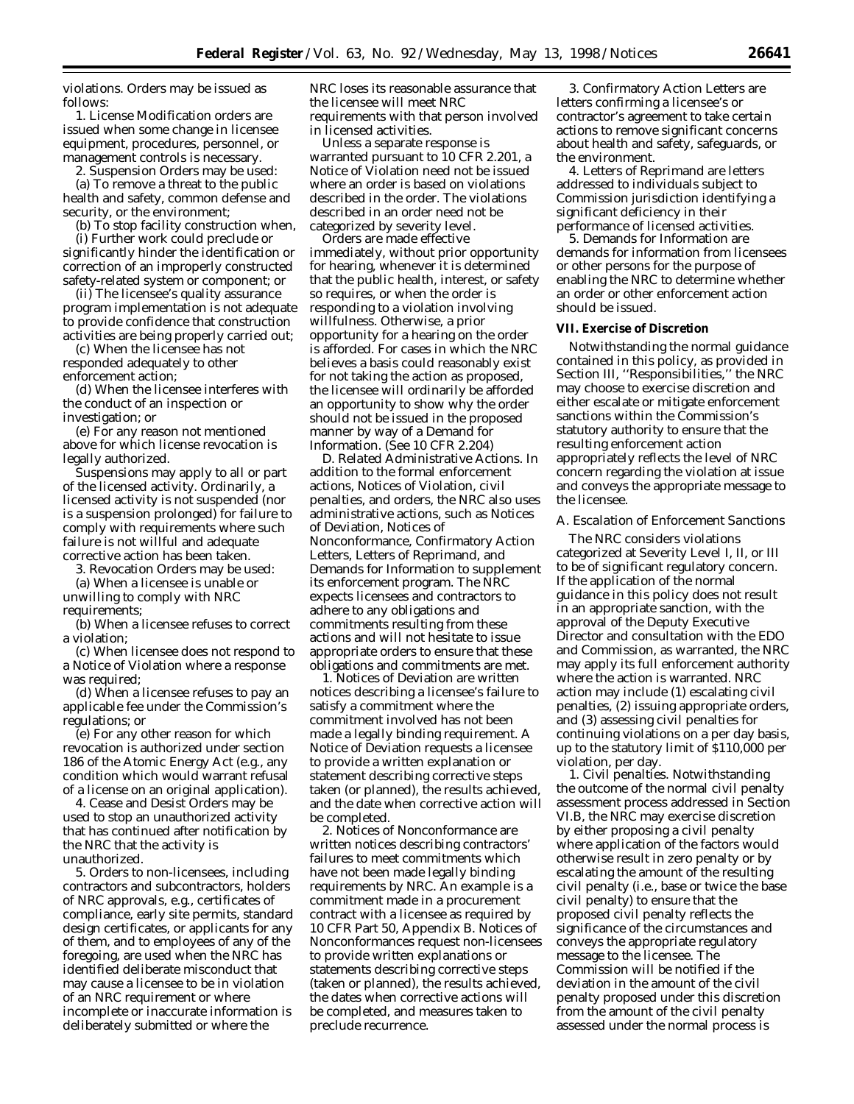violations. Orders may be issued as follows:

1. License Modification orders are issued when some change in licensee equipment, procedures, personnel, or management controls is necessary.

2. Suspension Orders may be used: (a) To remove a threat to the public health and safety, common defense and security, or the environment;

(b) To stop facility construction when,

(i) Further work could preclude or significantly hinder the identification or correction of an improperly constructed safety-related system or component; or

(ii) The licensee's quality assurance program implementation is not adequate to provide confidence that construction activities are being properly carried out;

(c) When the licensee has not responded adequately to other enforcement action;

(d) When the licensee interferes with the conduct of an inspection or investigation; or

(e) For any reason not mentioned above for which license revocation is legally authorized.

Suspensions may apply to all or part of the licensed activity. Ordinarily, a licensed activity is not suspended (nor is a suspension prolonged) for failure to comply with requirements where such failure is not willful and adequate corrective action has been taken.

3. Revocation Orders may be used:

(a) When a licensee is unable or unwilling to comply with NRC requirements;

(b) When a licensee refuses to correct a violation;

(c) When licensee does not respond to a Notice of Violation where a response was required;

(d) When a licensee refuses to pay an applicable fee under the Commission's regulations; or

(e) For any other reason for which revocation is authorized under section 186 of the Atomic Energy Act (e.g., any condition which would warrant refusal of a license on an original application).

4. Cease and Desist Orders may be used to stop an unauthorized activity that has continued after notification by the NRC that the activity is unauthorized.

5. Orders to non-licensees, including contractors and subcontractors, holders of NRC approvals, e.g., certificates of compliance, early site permits, standard design certificates, or applicants for any of them, and to employees of any of the foregoing, are used when the NRC has identified deliberate misconduct that may cause a licensee to be in violation of an NRC requirement or where incomplete or inaccurate information is deliberately submitted or where the

NRC loses its reasonable assurance that the licensee will meet NRC requirements with that person involved in licensed activities.

Unless a separate response is warranted pursuant to 10 CFR 2.201, a Notice of Violation need not be issued where an order is based on violations described in the order. The violations described in an order need not be categorized by severity level.

Orders are made effective immediately, without prior opportunity for hearing, whenever it is determined that the public health, interest, or safety so requires, or when the order is responding to a violation involving willfulness. Otherwise, a prior opportunity for a hearing on the order is afforded. For cases in which the NRC believes a basis could reasonably exist for not taking the action as proposed, the licensee will ordinarily be afforded an opportunity to show why the order should not be issued in the proposed manner by way of a Demand for Information. (See 10 CFR 2.204)

*D. Related Administrative Actions.* In addition to the formal enforcement actions, Notices of Violation, civil penalties, and orders, the NRC also uses administrative actions, such as Notices of Deviation, Notices of Nonconformance, Confirmatory Action Letters, Letters of Reprimand, and Demands for Information to supplement its enforcement program. The NRC expects licensees and contractors to adhere to any obligations and commitments resulting from these actions and will not hesitate to issue appropriate orders to ensure that these obligations and commitments are met.

1. Notices of Deviation are written notices describing a licensee's failure to satisfy a commitment where the commitment involved has not been made a legally binding requirement. A Notice of Deviation requests a licensee to provide a written explanation or statement describing corrective steps taken (or planned), the results achieved, and the date when corrective action will be completed.

2. Notices of Nonconformance are written notices describing contractors' failures to meet commitments which have not been made legally binding requirements by NRC. An example is a commitment made in a procurement contract with a licensee as required by 10 CFR Part 50, Appendix B. Notices of Nonconformances request non-licensees to provide written explanations or statements describing corrective steps (taken or planned), the results achieved, the dates when corrective actions will be completed, and measures taken to preclude recurrence.

3. Confirmatory Action Letters are letters confirming a licensee's or contractor's agreement to take certain actions to remove significant concerns about health and safety, safeguards, or the environment.

4. Letters of Reprimand are letters addressed to individuals subject to Commission jurisdiction identifying a significant deficiency in their performance of licensed activities.

5. Demands for Information are demands for information from licensees or other persons for the purpose of enabling the NRC to determine whether an order or other enforcement action should be issued.

# **VII. Exercise of Discretion**

Notwithstanding the normal guidance contained in this policy, as provided in Section III, ''Responsibilities,'' the NRC may choose to exercise discretion and either escalate or mitigate enforcement sanctions within the Commission's statutory authority to ensure that the resulting enforcement action appropriately reflects the level of NRC concern regarding the violation at issue and conveys the appropriate message to the licensee.

#### *A. Escalation of Enforcement Sanctions*

The NRC considers violations categorized at Severity Level I, II, or III to be of significant regulatory concern. If the application of the normal guidance in this policy does not result in an appropriate sanction, with the approval of the Deputy Executive Director and consultation with the EDO and Commission, as warranted, the NRC may apply its full enforcement authority where the action is warranted. NRC action may include (1) escalating civil penalties, (2) issuing appropriate orders, and (3) assessing civil penalties for continuing violations on a per day basis, up to the statutory limit of \$110,000 per violation, per day.

1. *Civil penalties.* Notwithstanding the outcome of the normal civil penalty assessment process addressed in Section VI.B, the NRC may exercise discretion by either proposing a civil penalty where application of the factors would otherwise result in zero penalty or by escalating the amount of the resulting civil penalty (i.e., base or twice the base civil penalty) to ensure that the proposed civil penalty reflects the significance of the circumstances and conveys the appropriate regulatory message to the licensee. The Commission will be notified if the deviation in the amount of the civil penalty proposed under this discretion from the amount of the civil penalty assessed under the normal process is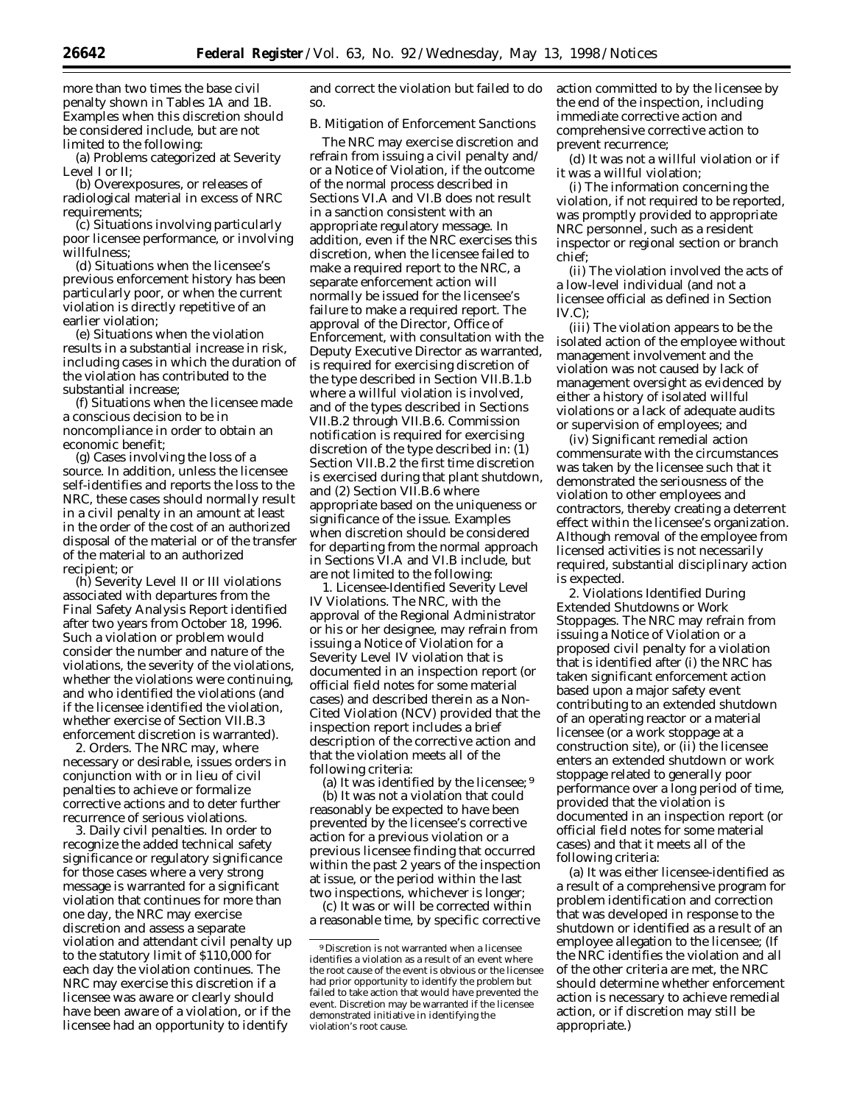more than two times the base civil penalty shown in Tables 1A and 1B. Examples when this discretion should be considered include, but are not limited to the following:

(a) Problems categorized at Severity Level I or II;

(b) Overexposures, or releases of radiological material in excess of NRC requirements;

(c) Situations involving particularly poor licensee performance, or involving willfulness;

(d) Situations when the licensee's previous enforcement history has been particularly poor, or when the current violation is directly repetitive of an earlier violation;

(e) Situations when the violation results in a substantial increase in risk, including cases in which the duration of the violation has contributed to the substantial increase;

(f) Situations when the licensee made a conscious decision to be in noncompliance in order to obtain an economic benefit;

(g) Cases involving the loss of a source. In addition, unless the licensee self-identifies and reports the loss to the NRC, these cases should normally result in a civil penalty in an amount at least in the order of the cost of an authorized disposal of the material or of the transfer of the material to an authorized recipient; or

(h) Severity Level II or III violations associated with departures from the Final Safety Analysis Report identified after two years from October 18, 1996. Such a violation or problem would consider the number and nature of the violations, the severity of the violations, whether the violations were continuing, and who identified the violations (and if the licensee identified the violation, whether exercise of Section VII.B.3 enforcement discretion is warranted).

2. *Orders.* The NRC may, where necessary or desirable, issues orders in conjunction with or in lieu of civil penalties to achieve or formalize corrective actions and to deter further recurrence of serious violations.

3. *Daily civil penalties.* In order to recognize the added technical safety significance or regulatory significance for those cases where a very strong message is warranted for a significant violation that continues for more than one day, the NRC may exercise discretion and assess a separate violation and attendant civil penalty up to the statutory limit of \$110,000 for each day the violation continues. The NRC may exercise this discretion if a licensee was aware or clearly should have been aware of a violation, or if the licensee had an opportunity to identify

and correct the violation but failed to do so.

# *B. Mitigation of Enforcement Sanctions*

The NRC may exercise discretion and refrain from issuing a civil penalty and/ or a Notice of Violation, if the outcome of the normal process described in Sections VI.A and VI.B does not result in a sanction consistent with an appropriate regulatory message. In addition, even if the NRC exercises this discretion, when the licensee failed to make a required report to the NRC, a separate enforcement action will normally be issued for the licensee's failure to make a required report. The approval of the Director, Office of Enforcement, with consultation with the Deputy Executive Director as warranted, is required for exercising discretion of the type described in Section VII.B.1.b where a willful violation is involved, and of the types described in Sections VII.B.2 through VII.B.6. Commission notification is required for exercising discretion of the type described in: (1) Section VII.B.2 the first time discretion is exercised during that plant shutdown, and (2) Section VII.B.6 where appropriate based on the uniqueness or significance of the issue. Examples when discretion should be considered for departing from the normal approach in Sections VI.A and VI.B include, but are not limited to the following:

1. *Licensee-Identified Severity Level IV Violations.* The NRC, with the approval of the Regional Administrator or his or her designee, may refrain from issuing a Notice of Violation for a Severity Level IV violation that is documented in an inspection report (or official field notes for some material cases) and described therein as a Non-Cited Violation (NCV) provided that the inspection report includes a brief description of the corrective action and that the violation meets all of the following criteria:

(a) It was identified by the licensee; 9 (b) It was not a violation that could reasonably be expected to have been prevented by the licensee's corrective action for a previous violation or a previous licensee finding that occurred within the past 2 years of the inspection at issue, or the period within the last two inspections, whichever is longer;

(c) It was or will be corrected within a reasonable time, by specific corrective action committed to by the licensee by the end of the inspection, including immediate corrective action and comprehensive corrective action to prevent recurrence;

(d) It was not a willful violation or if it was a willful violation;

(i) The information concerning the violation, if not required to be reported, was promptly provided to appropriate NRC personnel, such as a resident inspector or regional section or branch chief;

(ii) The violation involved the acts of a low-level individual (and not a licensee official as defined in Section  $IV.C$ ):

(iii) The violation appears to be the isolated action of the employee without management involvement and the violation was not caused by lack of management oversight as evidenced by either a history of isolated willful violations or a lack of adequate audits or supervision of employees; and

(iv) Significant remedial action commensurate with the circumstances was taken by the licensee such that it demonstrated the seriousness of the violation to other employees and contractors, thereby creating a deterrent effect within the licensee's organization. Although removal of the employee from licensed activities is not necessarily required, substantial disciplinary action is expected.

2. *Violations Identified During Extended Shutdowns or Work Stoppages.* The NRC may refrain from issuing a Notice of Violation or a proposed civil penalty for a violation that is identified after (i) the NRC has taken significant enforcement action based upon a major safety event contributing to an extended shutdown of an operating reactor or a material licensee (or a work stoppage at a construction site), or (ii) the licensee enters an extended shutdown or work stoppage related to generally poor performance over a long period of time, provided that the violation is documented in an inspection report (or official field notes for some material cases) and that it meets all of the following criteria:

(a) It was either licensee-identified as a result of a comprehensive program for problem identification and correction that was developed in response to the shutdown or identified as a result of an employee allegation to the licensee; (If the NRC identifies the violation and all of the other criteria are met, the NRC should determine whether enforcement action is necessary to achieve remedial action, or if discretion may still be appropriate.)

<sup>9</sup> Discretion is not warranted when a licensee identifies a violation as a result of an event where the root cause of the event is obvious or the licensee had prior opportunity to identify the problem but failed to take action that would have prevented the event. Discretion may be warranted if the licensee demonstrated initiative in identifying the violation's root cause.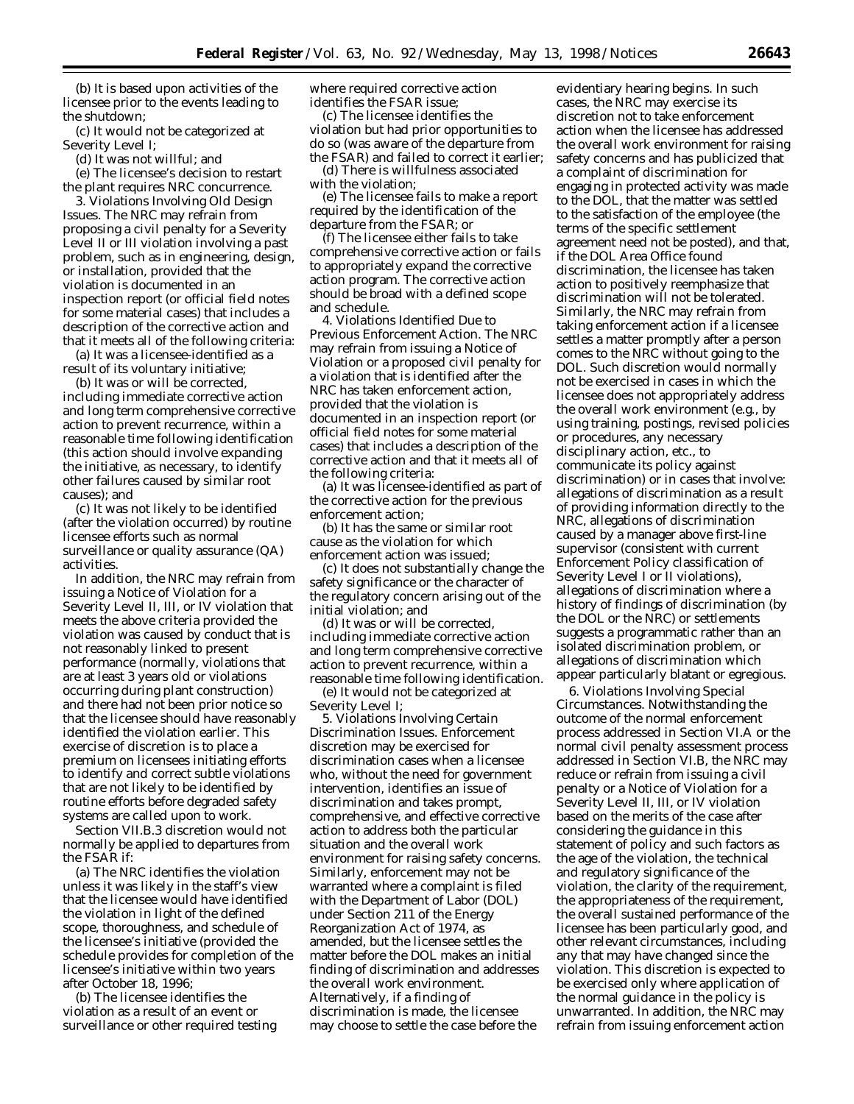(b) It is based upon activities of the licensee prior to the events leading to the shutdown;

(c) It would not be categorized at Severity Level I;

(d) It was not willful; and

(e) The licensee's decision to restart the plant requires NRC concurrence.

3. *Violations Involving Old Design Issues.* The NRC may refrain from proposing a civil penalty for a Severity Level II or III violation involving a past problem, such as in engineering, design, or installation, provided that the violation is documented in an inspection report (or official field notes for some material cases) that includes a description of the corrective action and that it meets all of the following criteria:

(a) It was a licensee-identified as a result of its voluntary initiative;

(b) It was or will be corrected, including immediate corrective action and long term comprehensive corrective action to prevent recurrence, within a reasonable time following identification (this action should involve expanding the initiative, as necessary, to identify other failures caused by similar root causes); and

(c) It was not likely to be identified (after the violation occurred) by routine licensee efforts such as normal surveillance or quality assurance (QA) activities.

In addition, the NRC may refrain from issuing a Notice of Violation for a Severity Level II, III, or IV violation that meets the above criteria provided the violation was caused by conduct that is not reasonably linked to present performance (normally, violations that are at least 3 years old or violations occurring during plant construction) and there had not been prior notice so that the licensee should have reasonably identified the violation earlier. This exercise of discretion is to place a premium on licensees initiating efforts to identify and correct subtle violations that are not likely to be identified by routine efforts before degraded safety systems are called upon to work.

Section VII.B.3 discretion would not normally be applied to departures from the FSAR if:

(a) The NRC identifies the violation unless it was likely in the staff's view that the licensee would have identified the violation in light of the defined scope, thoroughness, and schedule of the licensee's initiative (provided the schedule provides for completion of the licensee's initiative within two years after October 18, 1996;

(b) The licensee identifies the violation as a result of an event or surveillance or other required testing where required corrective action identifies the FSAR issue;

(c) The licensee identifies the violation but had prior opportunities to do so (was aware of the departure from the FSAR) and failed to correct it earlier;

(d) There is willfulness associated with the violation;

(e) The licensee fails to make a report required by the identification of the departure from the FSAR; or

(f) The licensee either fails to take comprehensive corrective action or fails to appropriately expand the corrective action program. The corrective action should be broad with a defined scope and schedule.

4. *Violations Identified Due to Previous Enforcement Action.* The NRC may refrain from issuing a Notice of Violation or a proposed civil penalty for a violation that is identified after the NRC has taken enforcement action, provided that the violation is documented in an inspection report (or official field notes for some material cases) that includes a description of the corrective action and that it meets all of the following criteria:

(a) It was licensee-identified as part of the corrective action for the previous enforcement action;

(b) It has the same or similar root cause as the violation for which enforcement action was issued;

(c) It does not substantially change the safety significance or the character of the regulatory concern arising out of the initial violation; and

(d) It was or will be corrected, including immediate corrective action and long term comprehensive corrective action to prevent recurrence, within a reasonable time following identification.

(e) It would not be categorized at Severity Level I;

5. *Violations Involving Certain Discrimination Issues.* Enforcement discretion may be exercised for discrimination cases when a licensee who, without the need for government intervention, identifies an issue of discrimination and takes prompt, comprehensive, and effective corrective action to address both the particular situation and the overall work environment for raising safety concerns. Similarly, enforcement may not be warranted where a complaint is filed with the Department of Labor (DOL) under Section 211 of the Energy Reorganization Act of 1974, as amended, but the licensee settles the matter before the DOL makes an initial finding of discrimination and addresses the overall work environment. Alternatively, if a finding of discrimination is made, the licensee may choose to settle the case before the

evidentiary hearing begins. In such cases, the NRC may exercise its discretion not to take enforcement action when the licensee has addressed the overall work environment for raising safety concerns and has publicized that a complaint of discrimination for engaging in protected activity was made to the DOL, that the matter was settled to the satisfaction of the employee (the terms of the specific settlement agreement need not be posted), and that, if the DOL Area Office found discrimination, the licensee has taken action to positively reemphasize that discrimination will not be tolerated. Similarly, the NRC may refrain from taking enforcement action if a licensee settles a matter promptly after a person comes to the NRC without going to the DOL. Such discretion would normally not be exercised in cases in which the licensee does not appropriately address the overall work environment (*e.g.,* by using training, postings, revised policies or procedures, any necessary disciplinary action, etc., to communicate its policy against discrimination) or in cases that involve: allegations of discrimination as a result of providing information directly to the NRC, allegations of discrimination caused by a manager above first-line supervisor (consistent with current Enforcement Policy classification of Severity Level I or II violations), allegations of discrimination where a history of findings of discrimination (by the DOL or the NRC) or settlements suggests a programmatic rather than an isolated discrimination problem, or allegations of discrimination which appear particularly blatant or egregious.

6. *Violations Involving Special Circumstances.* Notwithstanding the outcome of the normal enforcement process addressed in Section VI.A or the normal civil penalty assessment process addressed in Section VI.B, the NRC may reduce or refrain from issuing a civil penalty or a Notice of Violation for a Severity Level II, III, or IV violation based on the merits of the case after considering the guidance in this statement of policy and such factors as the age of the violation, the technical and regulatory significance of the violation, the clarity of the requirement, the appropriateness of the requirement, the overall sustained performance of the licensee has been particularly good, and other relevant circumstances, including any that may have changed since the violation. This discretion is expected to be exercised only where application of the normal guidance in the policy is unwarranted. In addition, the NRC may refrain from issuing enforcement action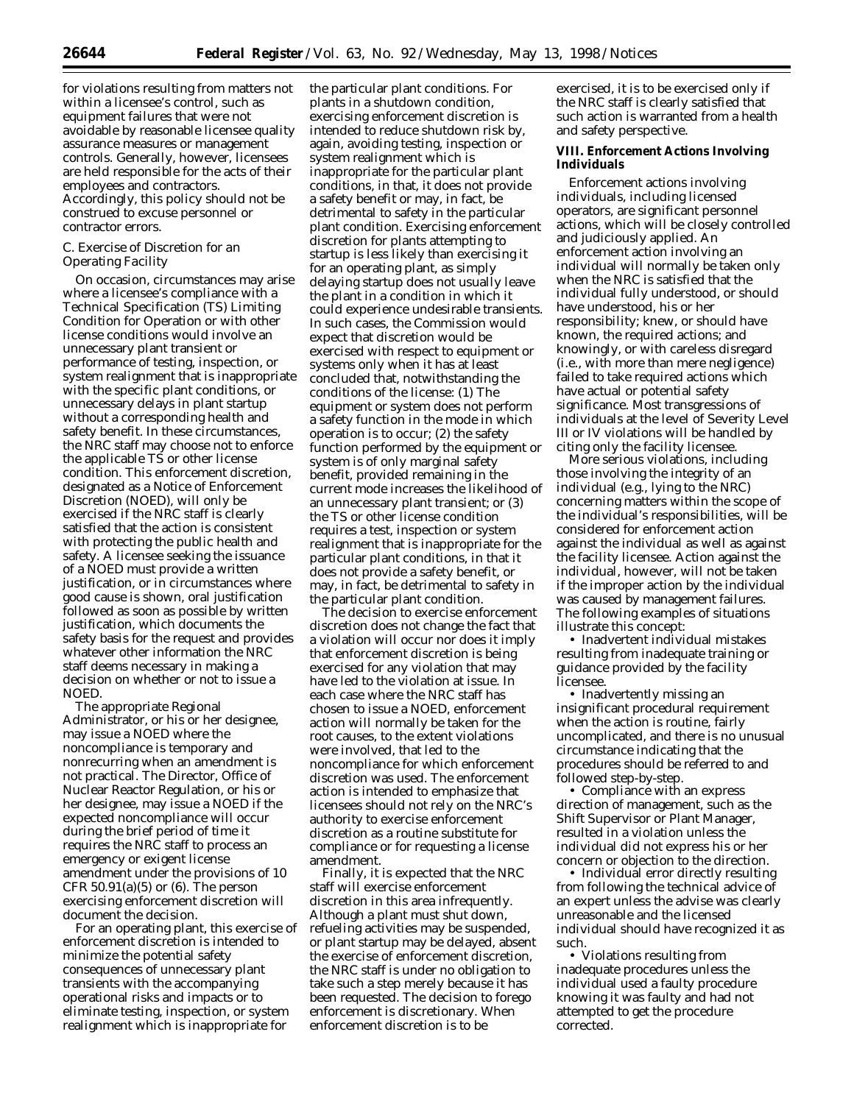for violations resulting from matters not within a licensee's control, such as equipment failures that were not avoidable by reasonable licensee quality assurance measures or management controls. Generally, however, licensees are held responsible for the acts of their employees and contractors. Accordingly, this policy should not be construed to excuse personnel or contractor errors.

# *C. Exercise of Discretion for an Operating Facility*

On occasion, circumstances may arise where a licensee's compliance with a Technical Specification (TS) Limiting Condition for Operation or with other license conditions would involve an unnecessary plant transient or performance of testing, inspection, or system realignment that is inappropriate with the specific plant conditions, or unnecessary delays in plant startup without a corresponding health and safety benefit. In these circumstances, the NRC staff may choose not to enforce the applicable TS or other license condition. This enforcement discretion, designated as a Notice of Enforcement Discretion (NOED), will only be exercised if the NRC staff is clearly satisfied that the action is consistent with protecting the public health and safety. A licensee seeking the issuance of a NOED must provide a written justification, or in circumstances where good cause is shown, oral justification followed as soon as possible by written justification, which documents the safety basis for the request and provides whatever other information the NRC staff deems necessary in making a decision on whether or not to issue a NOED.

The appropriate Regional Administrator, or his or her designee, may issue a NOED where the noncompliance is temporary and nonrecurring when an amendment is not practical. The Director, Office of Nuclear Reactor Regulation, or his or her designee, may issue a NOED if the expected noncompliance will occur during the brief period of time it requires the NRC staff to process an emergency or exigent license amendment under the provisions of 10 CFR  $50.91(a)(5)$  or  $(6)$ . The person exercising enforcement discretion will document the decision.

For an operating plant, this exercise of enforcement discretion is intended to minimize the potential safety consequences of unnecessary plant transients with the accompanying operational risks and impacts or to eliminate testing, inspection, or system realignment which is inappropriate for

the particular plant conditions. For plants in a shutdown condition, exercising enforcement discretion is intended to reduce shutdown risk by, again, avoiding testing, inspection or system realignment which is inappropriate for the particular plant conditions, in that, it does not provide a safety benefit or may, in fact, be detrimental to safety in the particular plant condition. Exercising enforcement discretion for plants attempting to startup is less likely than exercising it for an operating plant, as simply delaying startup does not usually leave the plant in a condition in which it could experience undesirable transients. In such cases, the Commission would expect that discretion would be exercised with respect to equipment or systems only when it has at least concluded that, notwithstanding the conditions of the license: (1) The equipment or system does not perform a safety function in the mode in which operation is to occur; (2) the safety function performed by the equipment or system is of only marginal safety benefit, provided remaining in the current mode increases the likelihood of an unnecessary plant transient; or (3) the TS or other license condition requires a test, inspection or system realignment that is inappropriate for the particular plant conditions, in that it does not provide a safety benefit, or may, in fact, be detrimental to safety in the particular plant condition.

The decision to exercise enforcement discretion does not change the fact that a violation will occur nor does it imply that enforcement discretion is being exercised for any violation that may have led to the violation at issue. In each case where the NRC staff has chosen to issue a NOED, enforcement action will normally be taken for the root causes, to the extent violations were involved, that led to the noncompliance for which enforcement discretion was used. The enforcement action is intended to emphasize that licensees should not rely on the NRC's authority to exercise enforcement discretion as a routine substitute for compliance or for requesting a license amendment.

Finally, it is expected that the NRC staff will exercise enforcement discretion in this area infrequently. Although a plant must shut down, refueling activities may be suspended, or plant startup may be delayed, absent the exercise of enforcement discretion, the NRC staff is under no obligation to take such a step merely because it has been requested. The decision to forego enforcement is discretionary. When enforcement discretion is to be

exercised, it is to be exercised only if the NRC staff is clearly satisfied that such action is warranted from a health and safety perspective.

# **VIII. Enforcement Actions Involving Individuals**

Enforcement actions involving individuals, including licensed operators, are significant personnel actions, which will be closely controlled and judiciously applied. An enforcement action involving an individual will normally be taken only when the NRC is satisfied that the individual fully understood, or should have understood, his or her responsibility; knew, or should have known, the required actions; and knowingly, or with careless disregard (i.e., with more than mere negligence) failed to take required actions which have actual or potential safety significance. Most transgressions of individuals at the level of Severity Level III or IV violations will be handled by citing only the facility licensee.

More serious violations, including those involving the integrity of an individual (e.g., lying to the NRC) concerning matters within the scope of the individual's responsibilities, will be considered for enforcement action against the individual as well as against the facility licensee. Action against the individual, however, will not be taken if the improper action by the individual was caused by management failures. The following examples of situations illustrate this concept:

• Inadvertent individual mistakes resulting from inadequate training or guidance provided by the facility licensee.

• Inadvertently missing an insignificant procedural requirement when the action is routine, fairly uncomplicated, and there is no unusual circumstance indicating that the procedures should be referred to and followed step-by-step.

• Compliance with an express direction of management, such as the Shift Supervisor or Plant Manager, resulted in a violation unless the individual did not express his or her concern or objection to the direction.

• Individual error directly resulting from following the technical advice of an expert unless the advise was clearly unreasonable and the licensed individual should have recognized it as such.

• Violations resulting from inadequate procedures unless the individual used a faulty procedure knowing it was faulty and had not attempted to get the procedure corrected.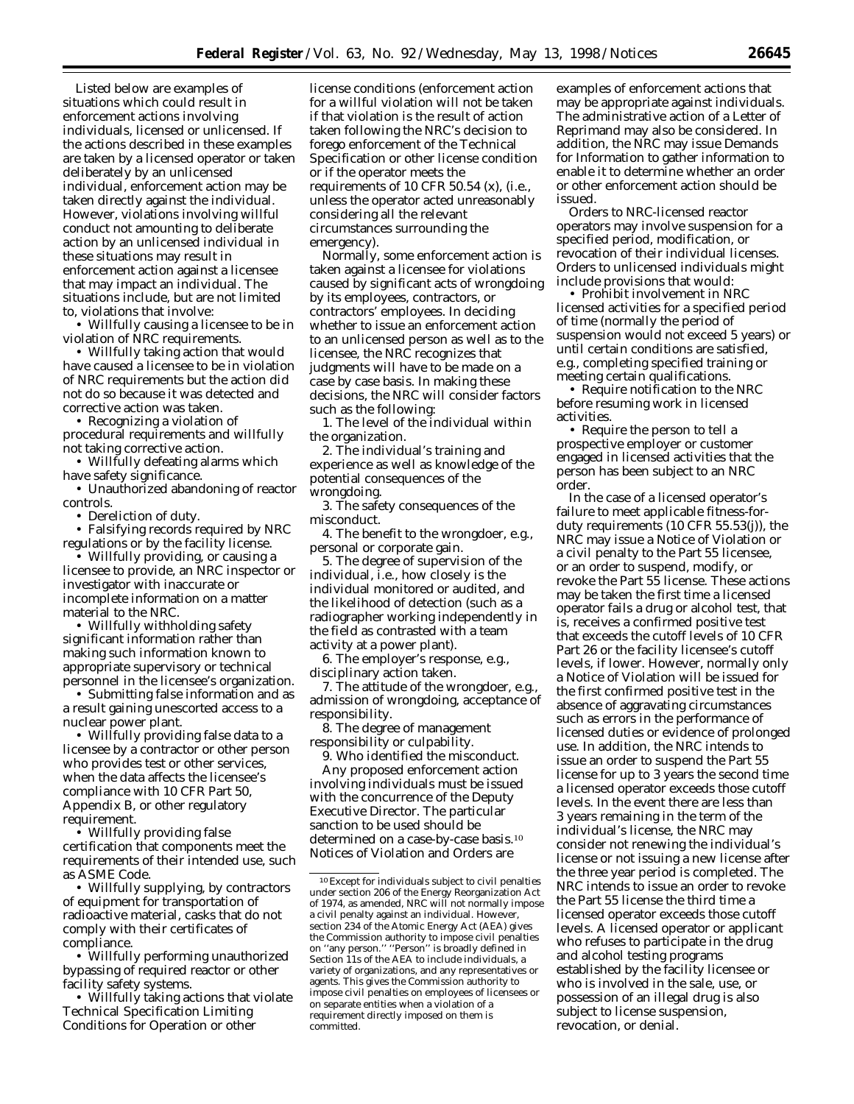Listed below are examples of situations which could result in enforcement actions involving individuals, licensed or unlicensed. If the actions described in these examples are taken by a licensed operator or taken deliberately by an unlicensed individual, enforcement action may be taken directly against the individual. However, violations involving willful conduct not amounting to deliberate action by an unlicensed individual in these situations may result in enforcement action against a licensee that may impact an individual. The situations include, but are not limited to, violations that involve:

• Willfully causing a licensee to be in violation of NRC requirements.

• Willfully taking action that would have caused a licensee to be in violation of NRC requirements but the action did not do so because it was detected and corrective action was taken.

• Recognizing a violation of procedural requirements and willfully not taking corrective action.

• Willfully defeating alarms which have safety significance.

• Unauthorized abandoning of reactor controls.

• Dereliction of duty.

• Falsifying records required by NRC regulations or by the facility license.

• Willfully providing, or causing a licensee to provide, an NRC inspector or investigator with inaccurate or incomplete information on a matter material to the NRC.

• Willfully withholding safety significant information rather than making such information known to appropriate supervisory or technical personnel in the licensee's organization.

• Submitting false information and as a result gaining unescorted access to a nuclear power plant.

• Willfully providing false data to a licensee by a contractor or other person who provides test or other services, when the data affects the licensee's compliance with 10 CFR Part 50, Appendix B, or other regulatory requirement.

• Willfully providing false certification that components meet the requirements of their intended use, such as ASME Code.

• Willfully supplying, by contractors of equipment for transportation of radioactive material, casks that do not comply with their certificates of compliance.

• Willfully performing unauthorized bypassing of required reactor or other facility safety systems.

• Willfully taking actions that violate Technical Specification Limiting Conditions for Operation or other

license conditions (enforcement action for a willful violation will not be taken if that violation is the result of action taken following the NRC's decision to forego enforcement of the Technical Specification or other license condition or if the operator meets the requirements of 10 CFR 50.54 (x), (i.e., unless the operator acted unreasonably considering all the relevant circumstances surrounding the emergency).

Normally, some enforcement action is taken against a licensee for violations caused by significant acts of wrongdoing by its employees, contractors, or contractors' employees. In deciding whether to issue an enforcement action to an unlicensed person as well as to the licensee, the NRC recognizes that judgments will have to be made on a case by case basis. In making these decisions, the NRC will consider factors such as the following:

1. The level of the individual within the organization.

2. The individual's training and experience as well as knowledge of the potential consequences of the wrongdoing.

3. The safety consequences of the misconduct.

4. The benefit to the wrongdoer, e.g., personal or corporate gain.

5. The degree of supervision of the individual, i.e., how closely is the individual monitored or audited, and the likelihood of detection (such as a radiographer working independently in the field as contrasted with a team activity at a power plant).

6. The employer's response, e.g., disciplinary action taken.

7. The attitude of the wrongdoer, e.g., admission of wrongdoing, acceptance of responsibility.

8. The degree of management responsibility or culpability.

9. Who identified the misconduct. Any proposed enforcement action

involving individuals must be issued with the concurrence of the Deputy Executive Director. The particular sanction to be used should be determined on a case-by-case basis.<sup>10</sup> Notices of Violation and Orders are

examples of enforcement actions that may be appropriate against individuals. The administrative action of a Letter of Reprimand may also be considered. In addition, the NRC may issue Demands for Information to gather information to enable it to determine whether an order or other enforcement action should be issued.

Orders to NRC-licensed reactor operators may involve suspension for a specified period, modification, or revocation of their individual licenses. Orders to unlicensed individuals might include provisions that would:

• Prohibit involvement in NRC licensed activities for a specified period of time (normally the period of suspension would not exceed 5 years) or until certain conditions are satisfied, e.g., completing specified training or meeting certain qualifications.

• Require notification to the NRC before resuming work in licensed activities.

• Require the person to tell a prospective employer or customer engaged in licensed activities that the person has been subject to an NRC order.

In the case of a licensed operator's failure to meet applicable fitness-forduty requirements (10 CFR 55.53(j)), the NRC may issue a Notice of Violation or a civil penalty to the Part 55 licensee, or an order to suspend, modify, or revoke the Part 55 license. These actions may be taken the first time a licensed operator fails a drug or alcohol test, that is, receives a confirmed positive test that exceeds the cutoff levels of 10 CFR Part 26 or the facility licensee's cutoff levels, if lower. However, normally only a Notice of Violation will be issued for the first confirmed positive test in the absence of aggravating circumstances such as errors in the performance of licensed duties or evidence of prolonged use. In addition, the NRC intends to issue an order to suspend the Part 55 license for up to 3 years the second time a licensed operator exceeds those cutoff levels. In the event there are less than 3 years remaining in the term of the individual's license, the NRC may consider not renewing the individual's license or not issuing a new license after the three year period is completed. The NRC intends to issue an order to revoke the Part 55 license the third time a licensed operator exceeds those cutoff levels. A licensed operator or applicant who refuses to participate in the drug and alcohol testing programs established by the facility licensee or who is involved in the sale, use, or possession of an illegal drug is also subject to license suspension, revocation, or denial.

<sup>10</sup>Except for individuals subject to civil penalties under section 206 of the Energy Reorganization Act of 1974, as amended, NRC will not normally impose a civil penalty against an individual. However, section 234 of the Atomic Energy Act (AEA) gives the Commission authority to impose civil penalties on ''any person.'' ''Person'' is broadly defined in Section 11s of the AEA to include individuals, a variety of organizations, and any representatives or agents. This gives the Commission authority to impose civil penalties on employees of licensees or on separate entities when a violation of a requirement directly imposed on them is committed.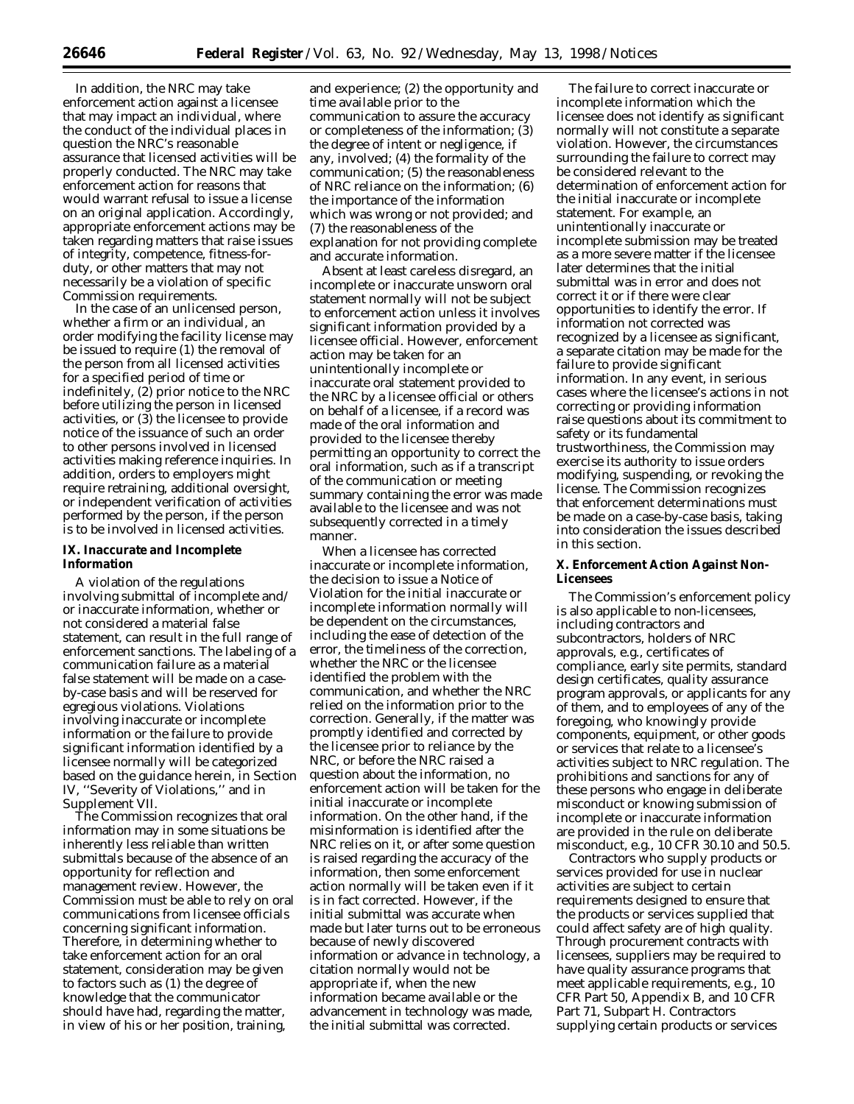In addition, the NRC may take enforcement action against a licensee that may impact an individual, where the conduct of the individual places in question the NRC's reasonable assurance that licensed activities will be properly conducted. The NRC may take enforcement action for reasons that would warrant refusal to issue a license on an original application. Accordingly, appropriate enforcement actions may be taken regarding matters that raise issues of integrity, competence, fitness-forduty, or other matters that may not necessarily be a violation of specific Commission requirements.

In the case of an unlicensed person, whether a firm or an individual, an order modifying the facility license may be issued to require (1) the removal of the person from all licensed activities for a specified period of time or indefinitely, (2) prior notice to the NRC before utilizing the person in licensed activities, or (3) the licensee to provide notice of the issuance of such an order to other persons involved in licensed activities making reference inquiries. In addition, orders to employers might require retraining, additional oversight, or independent verification of activities performed by the person, if the person is to be involved in licensed activities.

# **IX. Inaccurate and Incomplete Information**

A violation of the regulations involving submittal of incomplete and/ or inaccurate information, whether or not considered a material false statement, can result in the full range of enforcement sanctions. The labeling of a communication failure as a material false statement will be made on a caseby-case basis and will be reserved for egregious violations. Violations involving inaccurate or incomplete information or the failure to provide significant information identified by a licensee normally will be categorized based on the guidance herein, in Section IV, ''Severity of Violations,'' and in Supplement VII.

The Commission recognizes that oral information may in some situations be inherently less reliable than written submittals because of the absence of an opportunity for reflection and management review. However, the Commission must be able to rely on oral communications from licensee officials concerning significant information. Therefore, in determining whether to take enforcement action for an oral statement, consideration may be given to factors such as (1) the degree of knowledge that the communicator should have had, regarding the matter, in view of his or her position, training,

and experience; (2) the opportunity and time available prior to the communication to assure the accuracy or completeness of the information; (3) the degree of intent or negligence, if any, involved; (4) the formality of the communication; (5) the reasonableness of NRC reliance on the information; (6) the importance of the information which was wrong or not provided; and (7) the reasonableness of the explanation for not providing complete and accurate information.

Absent at least careless disregard, an incomplete or inaccurate unsworn oral statement normally will not be subject to enforcement action unless it involves significant information provided by a licensee official. However, enforcement action may be taken for an unintentionally incomplete or inaccurate oral statement provided to the NRC by a licensee official or others on behalf of a licensee, if a record was made of the oral information and provided to the licensee thereby permitting an opportunity to correct the oral information, such as if a transcript of the communication or meeting summary containing the error was made available to the licensee and was not subsequently corrected in a timely manner.

When a licensee has corrected inaccurate or incomplete information, the decision to issue a Notice of Violation for the initial inaccurate or incomplete information normally will be dependent on the circumstances, including the ease of detection of the error, the timeliness of the correction, whether the NRC or the licensee identified the problem with the communication, and whether the NRC relied on the information prior to the correction. Generally, if the matter was promptly identified and corrected by the licensee prior to reliance by the NRC, or before the NRC raised a question about the information, no enforcement action will be taken for the initial inaccurate or incomplete information. On the other hand, if the misinformation is identified after the NRC relies on it, or after some question is raised regarding the accuracy of the information, then some enforcement action normally will be taken even if it is in fact corrected. However, if the initial submittal was accurate when made but later turns out to be erroneous because of newly discovered information or advance in technology, a citation normally would not be appropriate if, when the new information became available or the advancement in technology was made, the initial submittal was corrected.

The failure to correct inaccurate or incomplete information which the licensee does not identify as significant normally will not constitute a separate violation. However, the circumstances surrounding the failure to correct may be considered relevant to the determination of enforcement action for the initial inaccurate or incomplete statement. For example, an unintentionally inaccurate or incomplete submission may be treated as a more severe matter if the licensee later determines that the initial submittal was in error and does not correct it or if there were clear opportunities to identify the error. If information not corrected was recognized by a licensee as significant, a separate citation may be made for the failure to provide significant information. In any event, in serious cases where the licensee's actions in not correcting or providing information raise questions about its commitment to safety or its fundamental trustworthiness, the Commission may exercise its authority to issue orders modifying, suspending, or revoking the license. The Commission recognizes that enforcement determinations must be made on a case-by-case basis, taking into consideration the issues described in this section.

## **X. Enforcement Action Against Non-Licensees**

The Commission's enforcement policy is also applicable to non-licensees, including contractors and subcontractors, holders of NRC approvals, e.g., certificates of compliance, early site permits, standard design certificates, quality assurance program approvals, or applicants for any of them, and to employees of any of the foregoing, who knowingly provide components, equipment, or other goods or services that relate to a licensee's activities subject to NRC regulation. The prohibitions and sanctions for any of these persons who engage in deliberate misconduct or knowing submission of incomplete or inaccurate information are provided in the rule on deliberate misconduct, e.g., 10 CFR 30.10 and 50.5.

Contractors who supply products or services provided for use in nuclear activities are subject to certain requirements designed to ensure that the products or services supplied that could affect safety are of high quality. Through procurement contracts with licensees, suppliers may be required to have quality assurance programs that meet applicable requirements, e.g., 10 CFR Part 50, Appendix B, and 10 CFR Part 71, Subpart H. Contractors supplying certain products or services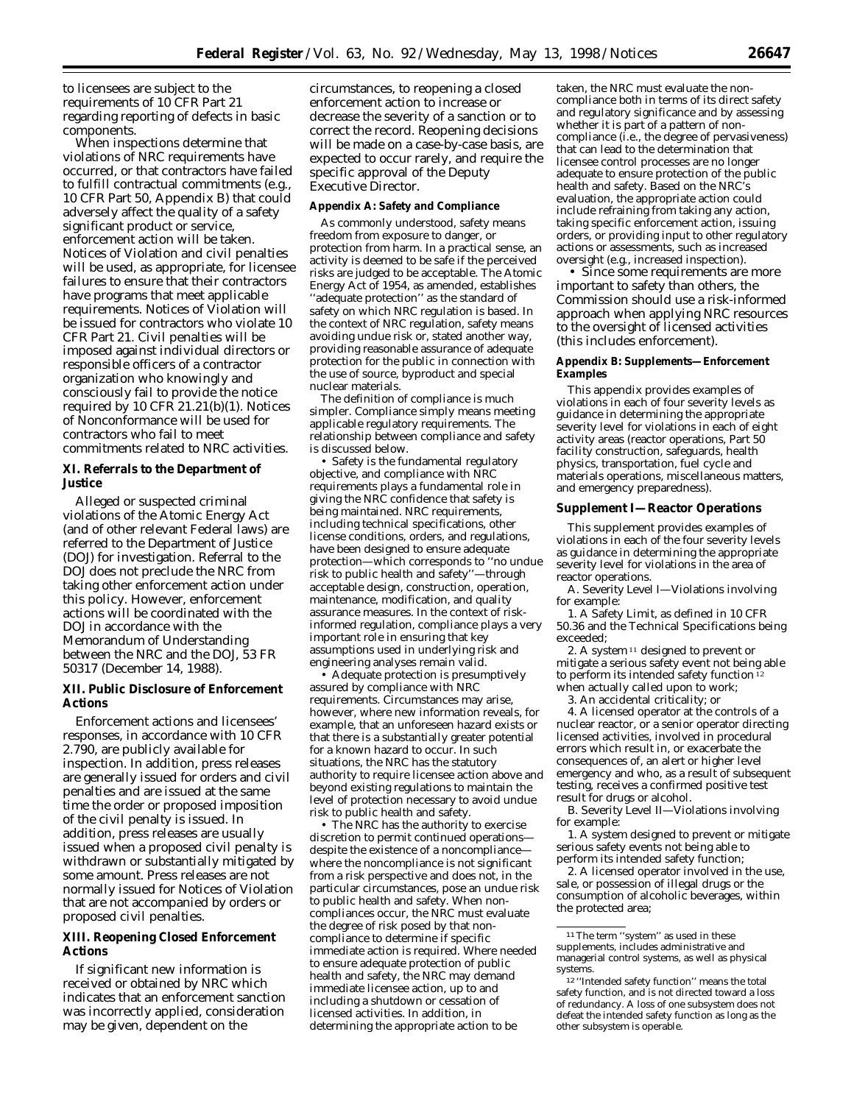to licensees are subject to the requirements of 10 CFR Part 21 regarding reporting of defects in basic components.

When inspections determine that violations of NRC requirements have occurred, or that contractors have failed to fulfill contractual commitments (e.g., 10 CFR Part 50, Appendix B) that could adversely affect the quality of a safety significant product or service, enforcement action will be taken. Notices of Violation and civil penalties will be used, as appropriate, for licensee failures to ensure that their contractors have programs that meet applicable requirements. Notices of Violation will be issued for contractors who violate 10 CFR Part 21. Civil penalties will be imposed against individual directors or responsible officers of a contractor organization who knowingly and consciously fail to provide the notice required by 10 CFR 21.21(b)(1). Notices of Nonconformance will be used for contractors who fail to meet commitments related to NRC activities.

# **XI. Referrals to the Department of Justice**

Alleged or suspected criminal violations of the Atomic Energy Act (and of other relevant Federal laws) are referred to the Department of Justice (DOJ) for investigation. Referral to the DOJ does not preclude the NRC from taking other enforcement action under this policy. However, enforcement actions will be coordinated with the DOJ in accordance with the Memorandum of Understanding between the NRC and the DOJ, 53 FR 50317 (December 14, 1988).

# **XII. Public Disclosure of Enforcement Actions**

Enforcement actions and licensees' responses, in accordance with 10 CFR 2.790, are publicly available for inspection. In addition, press releases are generally issued for orders and civil penalties and are issued at the same time the order or proposed imposition of the civil penalty is issued. In addition, press releases are usually issued when a proposed civil penalty is withdrawn or substantially mitigated by some amount. Press releases are not normally issued for Notices of Violation that are not accompanied by orders or proposed civil penalties.

# **XIII. Reopening Closed Enforcement Actions**

If significant new information is received or obtained by NRC which indicates that an enforcement sanction was incorrectly applied, consideration may be given, dependent on the

circumstances, to reopening a closed enforcement action to increase or decrease the severity of a sanction or to correct the record. Reopening decisions will be made on a case-by-case basis, are expected to occur rarely, and require the specific approval of the Deputy Executive Director.

## **Appendix A: Safety and Compliance**

As commonly understood, safety means freedom from exposure to danger, or protection from harm. In a practical sense, an activity is deemed to be safe if the perceived risks are judged to be acceptable. The Atomic Energy Act of 1954, as amended, establishes ''adequate protection'' as the standard of safety on which NRC regulation is based. In the context of NRC regulation, safety means avoiding undue risk or, stated another way, providing reasonable assurance of adequate protection for the public in connection with the use of source, byproduct and special nuclear materials.

The definition of compliance is much simpler. Compliance simply means meeting applicable regulatory requirements. The relationship between compliance and safety is discussed below.

• Safety is the fundamental regulatory objective, and compliance with NRC requirements plays a fundamental role in giving the NRC confidence that safety is being maintained. NRC requirements, including technical specifications, other license conditions, orders, and regulations, have been designed to ensure adequate protection—which corresponds to ''no undue risk to public health and safety''—through acceptable design, construction, operation, maintenance, modification, and quality assurance measures. In the context of riskinformed regulation, compliance plays a very important role in ensuring that key assumptions used in underlying risk and engineering analyses remain valid.

• Adequate protection is presumptively assured by compliance with NRC requirements. Circumstances may arise, however, where new information reveals, for example, that an unforeseen hazard exists or that there is a substantially greater potential for a known hazard to occur. In such situations, the NRC has the statutory authority to require licensee action above and beyond existing regulations to maintain the level of protection necessary to avoid undue risk to public health and safety.

• The NRC has the authority to exercise discretion to permit continued operations despite the existence of a noncompliance where the noncompliance is not significant from a risk perspective and does not, in the particular circumstances, pose an undue risk to public health and safety. When noncompliances occur, the NRC must evaluate the degree of risk posed by that noncompliance to determine if specific immediate action is required. Where needed to ensure adequate protection of public health and safety, the NRC may demand immediate licensee action, up to and including a shutdown or cessation of licensed activities. In addition, in determining the appropriate action to be

taken, the NRC must evaluate the noncompliance both in terms of its direct safety and regulatory significance and by assessing whether it is part of a pattern of noncompliance (i.e., the degree of pervasiveness) that can lead to the determination that licensee control processes are no longer adequate to ensure protection of the public health and safety. Based on the NRC's evaluation, the appropriate action could include refraining from taking any action, taking specific enforcement action, issuing orders, or providing input to other regulatory actions or assessments, such as increased oversight (e.g., increased inspection).

• Since some requirements are more important to safety than others, the Commission should use a risk-informed approach when applying NRC resources to the oversight of licensed activities (this includes enforcement).

## **Appendix B: Supplements—Enforcement Examples**

This appendix provides examples of violations in each of four severity levels as guidance in determining the appropriate severity level for violations in each of eight activity areas (reactor operations, Part 50 facility construction, safeguards, health physics, transportation, fuel cycle and materials operations, miscellaneous matters, and emergency preparedness).

#### **Supplement I—Reactor Operations**

This supplement provides examples of violations in each of the four severity levels as guidance in determining the appropriate severity level for violations in the area of reactor operations.

A. *Severity Level I*—Violations involving for example:

1. A Safety Limit, as defined in 10 CFR 50.36 and the Technical Specifications being exceeded;

2. A system 11 designed to prevent or mitigate a serious safety event not being able to perform its intended safety function<sup>12</sup> when actually called upon to work;

3. An accidental criticality; or

4. A licensed operator at the controls of a nuclear reactor, or a senior operator directing licensed activities, involved in procedural errors which result in, or exacerbate the consequences of, an alert or higher level emergency and who, as a result of subsequent testing, receives a confirmed positive test result for drugs or alcohol.

B. *Severity Level II*—Violations involving for example:

1. A system designed to prevent or mitigate serious safety events not being able to perform its intended safety function;

2. A licensed operator involved in the use, sale, or possession of illegal drugs or the consumption of alcoholic beverages, within the protected area;

<sup>&</sup>lt;sup>11</sup>The term "system" as used in these supplements, includes administrative and managerial control systems, as well as physical systems.

<sup>12</sup> ''Intended safety function'' means the total safety function, and is not directed toward a loss of redundancy. A loss of one subsystem does not defeat the intended safety function as long as the other subsystem is operable.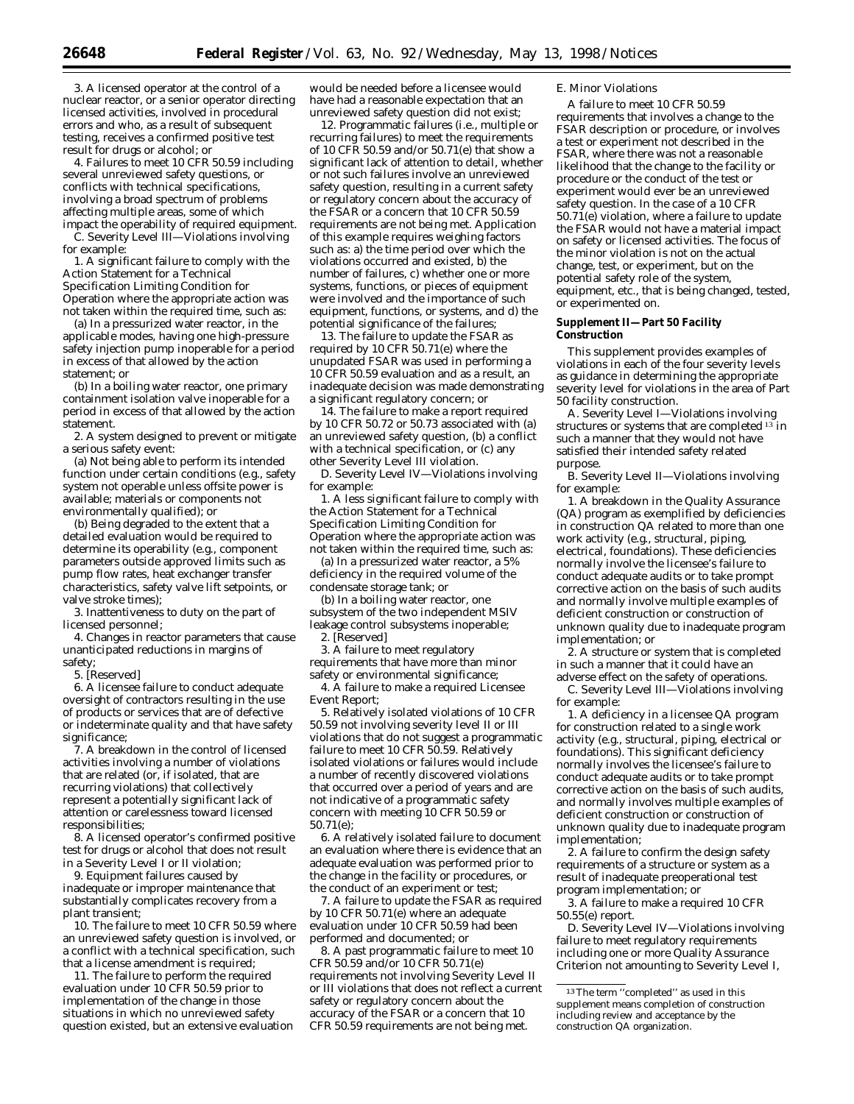3. A licensed operator at the control of a nuclear reactor, or a senior operator directing licensed activities, involved in procedural errors and who, as a result of subsequent testing, receives a confirmed positive test result for drugs or alcohol; or

4. Failures to meet 10 CFR 50.59 including several unreviewed safety questions, or conflicts with technical specifications, involving a broad spectrum of problems affecting multiple areas, some of which impact the operability of required equipment. C. *Severity Level III*—Violations involving

for example:

1. A significant failure to comply with the Action Statement for a Technical Specification Limiting Condition for Operation where the appropriate action was not taken within the required time, such as:

(a) In a pressurized water reactor, in the applicable modes, having one high-pressure safety injection pump inoperable for a period in excess of that allowed by the action statement; or

(b) In a boiling water reactor, one primary containment isolation valve inoperable for a period in excess of that allowed by the action statement.

2. A system designed to prevent or mitigate a serious safety event:

(a) Not being able to perform its intended function under certain conditions (e.g., safety system not operable unless offsite power is available; materials or components not environmentally qualified); or

(b) Being degraded to the extent that a detailed evaluation would be required to determine its operability (e.g., component parameters outside approved limits such as pump flow rates, heat exchanger transfer characteristics, safety valve lift setpoints, or valve stroke times);

3. Inattentiveness to duty on the part of licensed personnel;

4. Changes in reactor parameters that cause unanticipated reductions in margins of safety;

5. [Reserved]

6. A licensee failure to conduct adequate oversight of contractors resulting in the use of products or services that are of defective or indeterminate quality and that have safety significance;

7. A breakdown in the control of licensed activities involving a number of violations that are related (or, if isolated, that are recurring violations) that collectively represent a potentially significant lack of attention or carelessness toward licensed responsibilities;

8. A licensed operator's confirmed positive test for drugs or alcohol that does not result in a Severity Level I or II violation;

9. Equipment failures caused by inadequate or improper maintenance that substantially complicates recovery from a plant transient;

10. The failure to meet 10 CFR 50.59 where an unreviewed safety question is involved, or a conflict with a technical specification, such that a license amendment is required;

11. The failure to perform the required evaluation under 10 CFR 50.59 prior to implementation of the change in those situations in which no unreviewed safety question existed, but an extensive evaluation

would be needed before a licensee would have had a reasonable expectation that an unreviewed safety question did not exist;

12. Programmatic failures (i.e., multiple or recurring failures) to meet the requirements of 10 CFR 50.59 and/or 50.71(e) that show a significant lack of attention to detail, whether or not such failures involve an unreviewed safety question, resulting in a current safety or regulatory concern about the accuracy of the FSAR or a concern that 10 CFR 50.59 requirements are not being met. Application of this example requires weighing factors such as: a) the time period over which the violations occurred and existed, b) the number of failures, c) whether one or more systems, functions, or pieces of equipment were involved and the importance of such equipment, functions, or systems, and d) the potential significance of the failures;

13. The failure to update the FSAR as required by 10 CFR 50.71(e) where the unupdated FSAR was used in performing a 10 CFR 50.59 evaluation and as a result, an inadequate decision was made demonstrating a significant regulatory concern; or

14. The failure to make a report required by 10 CFR 50.72 or 50.73 associated with (a) an unreviewed safety question, (b) a conflict with a technical specification, or (c) any other Severity Level III violation.

D. *Severity Level IV*—Violations involving for example:

1. A less significant failure to comply with the Action Statement for a Technical Specification Limiting Condition for Operation where the appropriate action was not taken within the required time, such as:

(a) In a pressurized water reactor, a 5% deficiency in the required volume of the condensate storage tank; or

(b) In a boiling water reactor, one subsystem of the two independent MSIV leakage control subsystems inoperable; 2. [Reserved]

3. A failure to meet regulatory requirements that have more than minor safety or environmental significance;

4. A failure to make a required Licensee Event Report;

5. Relatively isolated violations of 10 CFR 50.59 not involving severity level II or III violations that do not suggest a programmatic failure to meet 10 CFR 50.59. Relatively isolated violations or failures would include a number of recently discovered violations that occurred over a period of years and are not indicative of a programmatic safety concern with meeting 10 CFR 50.59 or 50.71(e);

6. A relatively isolated failure to document an evaluation where there is evidence that an adequate evaluation was performed prior to the change in the facility or procedures, or the conduct of an experiment or test;

7. A failure to update the FSAR as required by 10 CFR 50.71 $(e)$  where an adequate evaluation under 10 CFR 50.59 had been performed and documented; or

8. A past programmatic failure to meet 10 CFR 50.59 and/or 10 CFR 50.71(e) requirements not involving Severity Level II or III violations that does not reflect a current safety or regulatory concern about the accuracy of the FSAR or a concern that 10 CFR 50.59 requirements are not being met.

#### E. Minor Violations

A failure to meet 10 CFR 50.59 requirements that involves a change to the FSAR description or procedure, or involves a test or experiment not described in the FSAR, where there was not a reasonable likelihood that the change to the facility or procedure or the conduct of the test or experiment would ever be an unreviewed safety question. In the case of a 10 CFR  $50.71(e)$  violation, where a failure to update the FSAR would not have a material impact on safety or licensed activities. The focus of the minor violation is not on the actual change, test, or experiment, but on the potential safety role of the system, equipment, etc., that is being changed, tested, or experimented on.

#### **Supplement II—Part 50 Facility Construction**

This supplement provides examples of violations in each of the four severity levels as guidance in determining the appropriate severity level for violations in the area of Part 50 facility construction.

A. *Severity Level I*—Violations involving structures or systems that are completed <sup>13</sup> in such a manner that they would not have satisfied their intended safety related purpose.

B. *Severity Level II*—Violations involving for example:

1. A breakdown in the Quality Assurance (QA) program as exemplified by deficiencies in construction QA related to more than one work activity (e.g., structural, piping, electrical, foundations). These deficiencies normally involve the licensee's failure to conduct adequate audits or to take prompt corrective action on the basis of such audits and normally involve multiple examples of deficient construction or construction of unknown quality due to inadequate program implementation; or

2. A structure or system that is completed in such a manner that it could have an adverse effect on the safety of operations.

C. *Severity Level III*—Violations involving for example:

1. A deficiency in a licensee QA program for construction related to a single work activity (e.g., structural, piping, electrical or foundations). This significant deficiency normally involves the licensee's failure to conduct adequate audits or to take prompt corrective action on the basis of such audits, and normally involves multiple examples of deficient construction or construction of unknown quality due to inadequate program implementation;

2. A failure to confirm the design safety requirements of a structure or system as a result of inadequate preoperational test program implementation; or

3. A failure to make a required 10 CFR 50.55(e) report.

D. *Severity Level IV*—Violations involving failure to meet regulatory requirements including one or more Quality Assurance Criterion not amounting to Severity Level I,

<sup>13</sup>The term ''completed'' as used in this supplement means completion of construction including review and acceptance by the construction QA organization.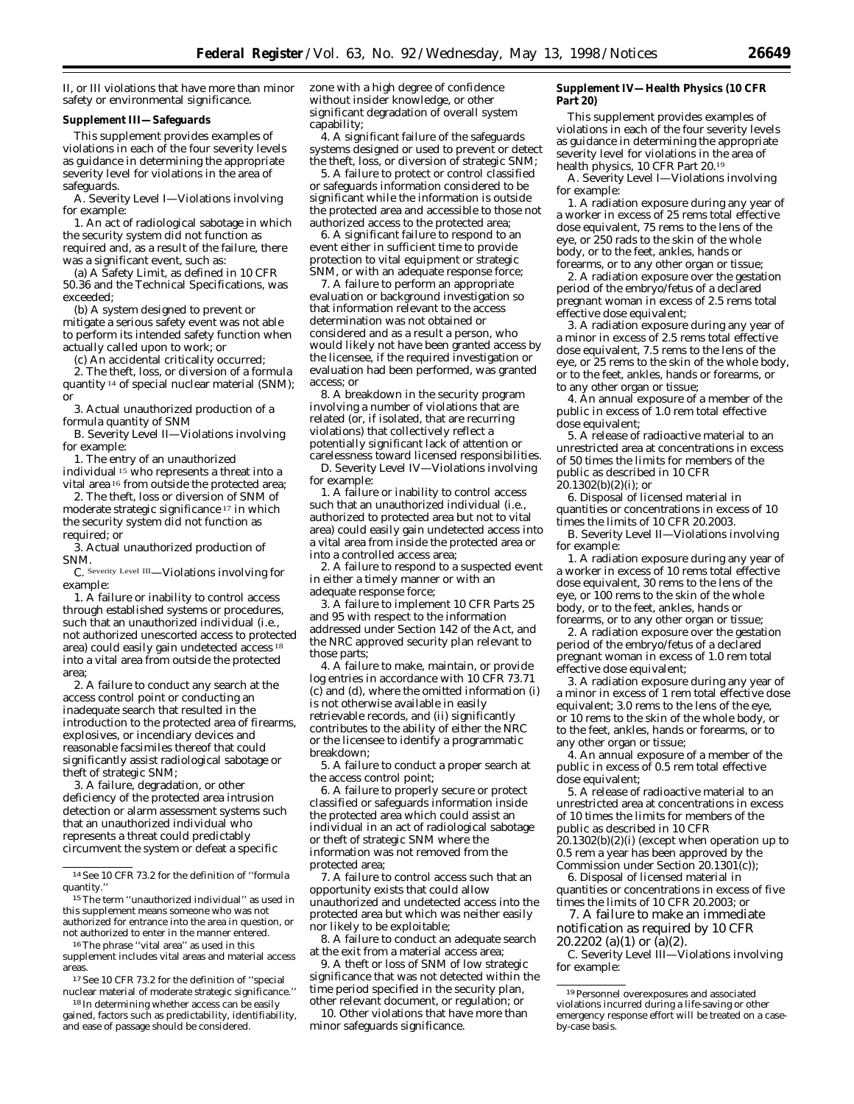II, or III violations that have more than minor safety or environmental significance.

#### **Supplement III—Safeguards**

This supplement provides examples of violations in each of the four severity levels as guidance in determining the appropriate severity level for violations in the area of safeguards.

A. *Severity Level I*—Violations involving for example:

1. An act of radiological sabotage in which the security system did not function as required and, as a result of the failure, there was a significant event, such as:

(a) A Safety Limit, as defined in 10 CFR 50.36 and the Technical Specifications, was exceeded;

(b) A system designed to prevent or mitigate a serious safety event was not able to perform its intended safety function when actually called upon to work; or

(c) An accidental criticality occurred;

2. The theft, loss, or diversion of a formula quantity 14 of special nuclear material (SNM); or

3. Actual unauthorized production of a formula quantity of SNM

B. *Severity Level II*—Violations involving for example:

1. The entry of an unauthorized individual 15 who represents a threat into a

vital area 16 from outside the protected area; 2. The theft, loss or diversion of SNM of moderate strategic significance 17 in which

the security system did not function as required; or

3. Actual unauthorized production of SNM.

C. Severity Level III—Violations involving for example:

1. A failure or inability to control access through established systems or procedures, such that an unauthorized individual (i.e., not authorized unescorted access to protected area) could easily gain undetected access 18 into a vital area from outside the protected area;

2. A failure to conduct any search at the access control point or conducting an inadequate search that resulted in the introduction to the protected area of firearms, explosives, or incendiary devices and reasonable facsimiles thereof that could significantly assist radiological sabotage or theft of strategic SNM;

3. A failure, degradation, or other deficiency of the protected area intrusion detection or alarm assessment systems such that an unauthorized individual who represents a threat could predictably circumvent the system or defeat a specific

16The phrase ''vital area'' as used in this supplement includes vital areas and material access areas.

17See 10 CFR 73.2 for the definition of ''special nuclear material of moderate strategic significance.''

<sup>18</sup> In determining whether access can be easily gained, factors such as predictability, identifiability, and ease of passage should be considered.

zone with a high degree of confidence without insider knowledge, or other significant degradation of overall system capability;

4. A significant failure of the safeguards systems designed or used to prevent or detect the theft, loss, or diversion of strategic SNM;

5. A failure to protect or control classified or safeguards information considered to be significant while the information is outside the protected area and accessible to those not authorized access to the protected area;

6. A significant failure to respond to an event either in sufficient time to provide protection to vital equipment or strategic SNM, or with an adequate response force;

7. A failure to perform an appropriate evaluation or background investigation so that information relevant to the access determination was not obtained or considered and as a result a person, who would likely not have been granted access by the licensee, if the required investigation or evaluation had been performed, was granted access; or

8. A breakdown in the security program involving a number of violations that are related (or, if isolated, that are recurring violations) that collectively reflect a potentially significant lack of attention or carelessness toward licensed responsibilities.

D. *Severity Level IV*—Violations involving for example:

1. A failure or inability to control access such that an unauthorized individual (i.e., authorized to protected area but not to vital area) could easily gain undetected access into a vital area from inside the protected area or into a controlled access area;

2. A failure to respond to a suspected event in either a timely manner or with an adequate response force;

3. A failure to implement 10 CFR Parts 25 and 95 with respect to the information addressed under Section 142 of the Act, and the NRC approved security plan relevant to those parts;

4. A failure to make, maintain, or provide log entries in accordance with 10 CFR 73.71 (c) and (d), where the omitted information (i) is not otherwise available in easily retrievable records, and (ii) significantly contributes to the ability of either the NRC or the licensee to identify a programmatic breakdown;

5. A failure to conduct a proper search at the access control point;

6. A failure to properly secure or protect classified or safeguards information inside the protected area which could assist an individual in an act of radiological sabotage or theft of strategic SNM where the information was not removed from the protected area;

7. A failure to control access such that an opportunity exists that could allow unauthorized and undetected access into the protected area but which was neither easily nor likely to be exploitable;

8. A failure to conduct an adequate search at the exit from a material access area;

9. A theft or loss of SNM of low strategic significance that was not detected within the time period specified in the security plan, other relevant document, or regulation; or

10. Other violations that have more than minor safeguards significance.

#### **Supplement IV—Health Physics (10 CFR Part 20)**

This supplement provides examples of violations in each of the four severity levels as guidance in determining the appropriate severity level for violations in the area of health physics, 10 CFR Part 20.19

A. *Severity Level I*—Violations involving for example:

1. A radiation exposure during any year of a worker in excess of 25 rems total effective dose equivalent, 75 rems to the lens of the eye, or 250 rads to the skin of the whole body, or to the feet, ankles, hands or forearms, or to any other organ or tissue;

2. A radiation exposure over the gestation period of the embryo/fetus of a declared pregnant woman in excess of 2.5 rems total effective dose equivalent;

3. A radiation exposure during any year of a minor in excess of 2.5 rems total effective dose equivalent, 7.5 rems to the lens of the eye, or 25 rems to the skin of the whole body, or to the feet, ankles, hands or forearms, or to any other organ or tissue;

4. An annual exposure of a member of the public in excess of 1.0 rem total effective dose equivalent;

5. A release of radioactive material to an unrestricted area at concentrations in excess of 50 times the limits for members of the public as described in 10 CFR  $20.1302(b)(2)(i)$ ; or

6. Disposal of licensed material in quantities or concentrations in excess of 10 times the limits of 10 CFR 20.2003.

B. *Severity Level II*—Violations involving for example:

1. A radiation exposure during any year of a worker in excess of 10 rems total effective dose equivalent, 30 rems to the lens of the eye, or 100 rems to the skin of the whole body, or to the feet, ankles, hands or forearms, or to any other organ or tissue;

2. A radiation exposure over the gestation period of the embryo/fetus of a declared pregnant woman in excess of 1.0 rem total effective dose equivalent;

3. A radiation exposure during any year of a minor in excess of 1 rem total effective dose equivalent; 3.0 rems to the lens of the eye, or 10 rems to the skin of the whole body, or to the feet, ankles, hands or forearms, or to any other organ or tissue;

4. An annual exposure of a member of the public in excess of 0.5 rem total effective dose equivalent;

5. A release of radioactive material to an unrestricted area at concentrations in excess of 10 times the limits for members of the public as described in 10 CFR  $20.1302(b)(2)(i)$  (except when operation up to 0.5 rem a year has been approved by the Commission under Section 20.1301(c));

6. Disposal of licensed material in quantities or concentrations in excess of five times the limits of 10 CFR 20.2003; or

7. A failure to make an immediate notification as required by 10 CFR  $20.2202$  (a)(1) or (a)(2).

C. *Severity Level III—*Violations involving for example:

<sup>14</sup>See 10 CFR 73.2 for the definition of ''formula quantity.''

<sup>15</sup>The term ''unauthorized individual'' as used in this supplement means someone who was not authorized for entrance into the area in question, or not authorized to enter in the manner entered.

<sup>19</sup>Personnel overexposures and associated violations incurred during a life-saving or other emergency response effort will be treated on a caseby-case basis.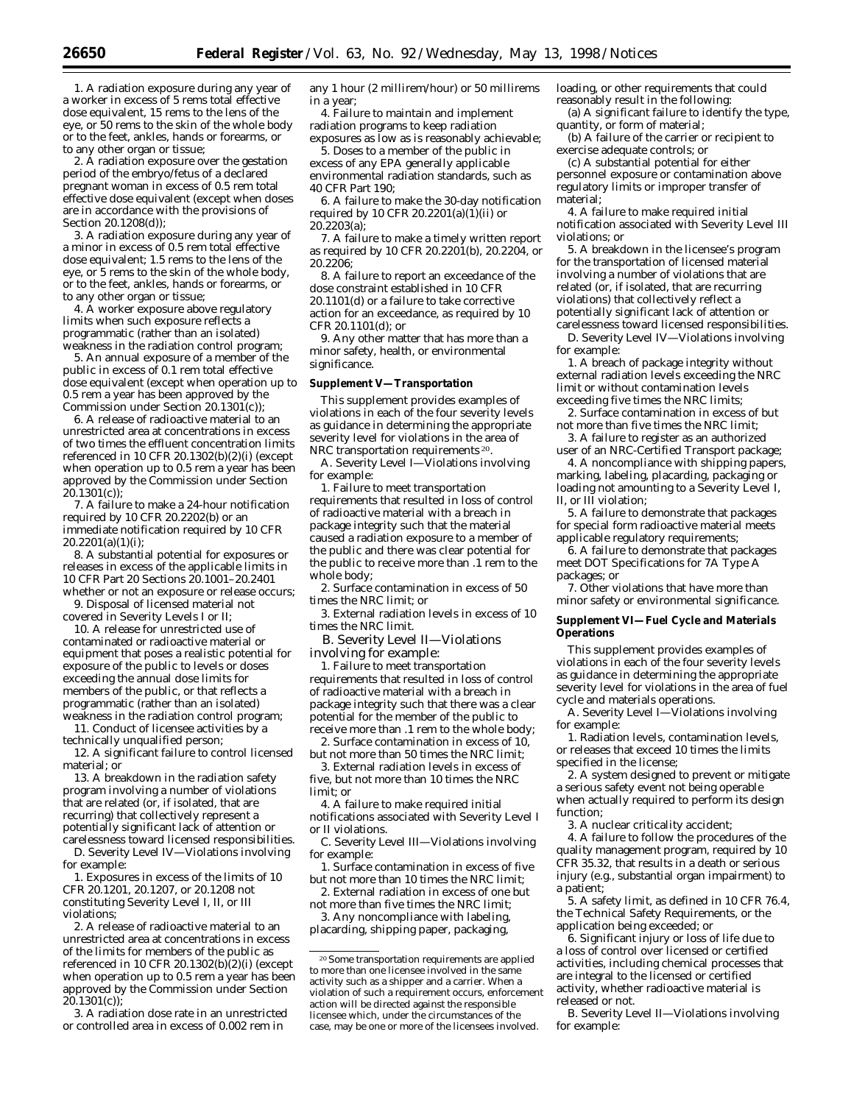1. A radiation exposure during any year of a worker in excess of 5 rems total effective dose equivalent, 15 rems to the lens of the eye, or 50 rems to the skin of the whole body or to the feet, ankles, hands or forearms, or to any other organ or tissue;

2. A radiation exposure over the gestation period of the embryo/fetus of a declared pregnant woman in excess of 0.5 rem total effective dose equivalent (except when doses are in accordance with the provisions of Section 20.1208(d));

3. A radiation exposure during any year of a minor in excess of 0.5 rem total effective dose equivalent; 1.5 rems to the lens of the eye, or 5 rems to the skin of the whole body, or to the feet, ankles, hands or forearms, or to any other organ or tissue;

4. A worker exposure above regulatory limits when such exposure reflects a programmatic (rather than an isolated) weakness in the radiation control program;

5. An annual exposure of a member of the public in excess of 0.1 rem total effective dose equivalent (except when operation up to 0.5 rem a year has been approved by the Commission under Section 20.1301(c));

6. A release of radioactive material to an unrestricted area at concentrations in excess of two times the effluent concentration limits referenced in 10 CFR 20.1302(b)(2)(i) (except when operation up to 0.5 rem a year has been approved by the Commission under Section  $20.1301(c)$ ;

7. A failure to make a 24-hour notification required by 10 CFR 20.2202(b) or an immediate notification required by 10 CFR 20.2201(a)(1)(i);

8. A substantial potential for exposures or releases in excess of the applicable limits in 10 CFR Part 20 Sections 20.1001–20.2401 whether or not an exposure or release occurs;

9. Disposal of licensed material not covered in Severity Levels I or II;

10. A release for unrestricted use of contaminated or radioactive material or equipment that poses a realistic potential for exposure of the public to levels or doses exceeding the annual dose limits for members of the public, or that reflects a programmatic (rather than an isolated) weakness in the radiation control program;

11. Conduct of licensee activities by a technically unqualified person;

12. A significant failure to control licensed material; or

13. A breakdown in the radiation safety program involving a number of violations that are related (or, if isolated, that are recurring) that collectively represent a potentially significant lack of attention or carelessness toward licensed responsibilities.

D. *Severity Level IV—*Violations involving for example:

1. Exposures in excess of the limits of 10 CFR 20.1201, 20.1207, or 20.1208 not constituting Severity Level I, II, or III violations;

2. A release of radioactive material to an unrestricted area at concentrations in excess of the limits for members of the public as referenced in 10 CFR 20.1302(b) $\overline{2}$ (i) (except when operation up to 0.5 rem a year has been approved by the Commission under Section  $20.1301(c)$ 

3. A radiation dose rate in an unrestricted or controlled area in excess of 0.002 rem in

any 1 hour (2 millirem/hour) or 50 millirems in a year;

4. Failure to maintain and implement radiation programs to keep radiation exposures as low as is reasonably achievable;

5. Doses to a member of the public in excess of any EPA generally applicable environmental radiation standards, such as 40 CFR Part 190;

6. A failure to make the 30-day notification required by 10 CFR  $20.2201(a)(1)(ii)$  or 20.2203(a);

7. A failure to make a timely written report as required by 10 CFR 20.2201(b), 20.2204, or 20.2206;

8. A failure to report an exceedance of the dose constraint established in 10 CFR 20.1101(d) or a failure to take corrective action for an exceedance, as required by 10 CFR 20.1101(d); or

9. Any other matter that has more than a minor safety, health, or environmental significance.

#### **Supplement V—Transportation**

This supplement provides examples of violations in each of the four severity levels as guidance in determining the appropriate severity level for violations in the area of NRC transportation requirements 20.

A. *Severity Level I*—Violations involving for example:

1. Failure to meet transportation requirements that resulted in loss of control of radioactive material with a breach in package integrity such that the material caused a radiation exposure to a member of the public and there was clear potential for the public to receive more than .1 rem to the whole body;

2. Surface contamination in excess of 50 times the NRC limit; or

3. External radiation levels in excess of 10 times the NRC limit.

B. *Severity Level II*—Violations involving for example:

1. Failure to meet transportation requirements that resulted in loss of control of radioactive material with a breach in package integrity such that there was a clear potential for the member of the public to receive more than .1 rem to the whole body;

2. Surface contamination in excess of 10, but not more than 50 times the NRC limit;

3. External radiation levels in excess of five, but not more than 10 times the NRC limit; or

4. A failure to make required initial notifications associated with Severity Level I or II violations.

C. *Severity Level III*—Violations involving for example:

1. Surface contamination in excess of five but not more than 10 times the NRC limit;

2. External radiation in excess of one but not more than five times the NRC limit;

3. Any noncompliance with labeling, placarding, shipping paper, packaging,

loading, or other requirements that could reasonably result in the following:

(a) A significant failure to identify the type, quantity, or form of material;

(b) A failure of the carrier or recipient to exercise adequate controls; or

(c) A substantial potential for either personnel exposure or contamination above regulatory limits or improper transfer of material;

4. A failure to make required initial notification associated with Severity Level III violations; or

5. A breakdown in the licensee's program for the transportation of licensed material involving a number of violations that are related (or, if isolated, that are recurring violations) that collectively reflect a potentially significant lack of attention or carelessness toward licensed responsibilities.

D. *Severity Level IV*—Violations involving for example:

1. A breach of package integrity without external radiation levels exceeding the NRC limit or without contamination levels exceeding five times the NRC limits;

2. Surface contamination in excess of but not more than five times the NRC limit;

3. A failure to register as an authorized user of an NRC-Certified Transport package;

4. A noncompliance with shipping papers, marking, labeling, placarding, packaging or loading not amounting to a Severity Level I, II, or III violation;

5. A failure to demonstrate that packages for special form radioactive material meets applicable regulatory requirements;

6. A failure to demonstrate that packages meet DOT Specifications for 7A Type A packages; or

7. Other violations that have more than minor safety or environmental significance.

#### **Supplement VI—Fuel Cycle and Materials Operations**

This supplement provides examples of violations in each of the four severity levels as guidance in determining the appropriate severity level for violations in the area of fuel cycle and materials operations.

A. *Severity Level I*—Violations involving for example:

1. Radiation levels, contamination levels, or releases that exceed 10 times the limits specified in the license;

2. A system designed to prevent or mitigate a serious safety event not being operable when actually required to perform its design function;

3. A nuclear criticality accident;

4. A failure to follow the procedures of the quality management program, required by 10 CFR 35.32, that results in a death or serious injury (e.g., substantial organ impairment) to a patient;

5. A safety limit, as defined in 10 CFR 76.4, the Technical Safety Requirements, or the application being exceeded; or

6. Significant injury or loss of life due to a loss of control over licensed or certified activities, including chemical processes that are integral to the licensed or certified activity, whether radioactive material is released or not.

B. *Severity Level II*—Violations involving for example:

<sup>20</sup>Some transportation requirements are applied to more than one licensee involved in the same activity such as a shipper and a carrier. When a violation of such a requirement occurs, enforcement action will be directed against the responsible licensee which, under the circumstances of the case, may be one or more of the licensees involved.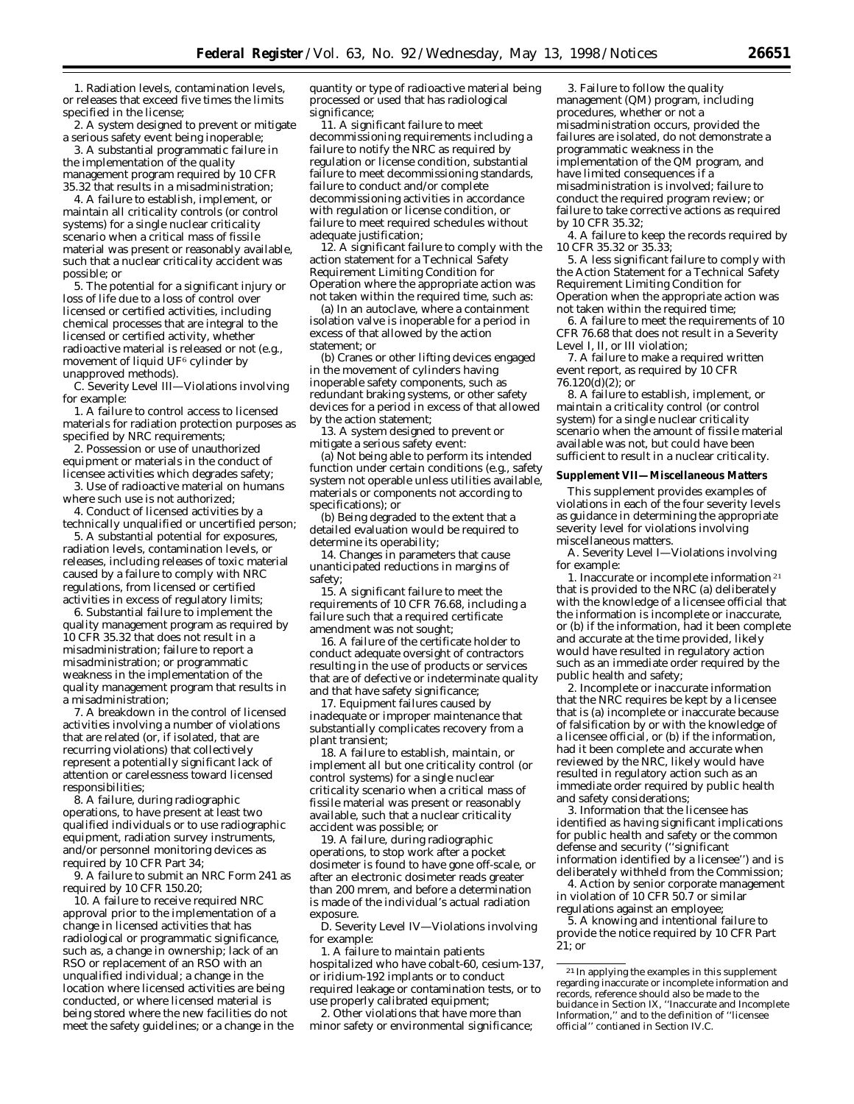1. Radiation levels, contamination levels, or releases that exceed five times the limits specified in the license;

2. A system designed to prevent or mitigate a serious safety event being inoperable;

3. A substantial programmatic failure in the implementation of the quality management program required by 10 CFR 35.32 that results in a misadministration;

4. A failure to establish, implement, or maintain all criticality controls (or control systems) for a single nuclear criticality scenario when a critical mass of fissile material was present or reasonably available, such that a nuclear criticality accident was possible; or

5. The potential for a significant injury or loss of life due to a loss of control over licensed or certified activities, including chemical processes that are integral to the licensed or certified activity, whether radioactive material is released or not (e.g., movement of liquid UF6 cylinder by unapproved methods).

C. *Severity Level III*—Violations involving for example:

1. A failure to control access to licensed materials for radiation protection purposes as specified by NRC requirements;

2. Possession or use of unauthorized equipment or materials in the conduct of licensee activities which degrades safety;

3. Use of radioactive material on humans where such use is not authorized;

4. Conduct of licensed activities by a technically unqualified or uncertified person;

5. A substantial potential for exposures, radiation levels, contamination levels, or releases, including releases of toxic material caused by a failure to comply with NRC regulations, from licensed or certified activities in excess of regulatory limits;

6. Substantial failure to implement the quality management program as required by 10 CFR 35.32 that does not result in a misadministration; failure to report a misadministration; or programmatic weakness in the implementation of the quality management program that results in a misadministration;

7. A breakdown in the control of licensed activities involving a number of violations that are related (or, if isolated, that are recurring violations) that collectively represent a potentially significant lack of attention or carelessness toward licensed responsibilities;

8. A failure, during radiographic operations, to have present at least two qualified individuals or to use radiographic equipment, radiation survey instruments, and/or personnel monitoring devices as required by 10 CFR Part 34;

9. A failure to submit an NRC Form 241 as required by 10 CFR 150.20;

10. A failure to receive required NRC approval prior to the implementation of a change in licensed activities that has radiological or programmatic significance, such as, a change in ownership; lack of an RSO or replacement of an RSO with an unqualified individual; a change in the location where licensed activities are being conducted, or where licensed material is being stored where the new facilities do not meet the safety guidelines; or a change in the quantity or type of radioactive material being processed or used that has radiological significance;

11. A significant failure to meet decommissioning requirements including a failure to notify the NRC as required by regulation or license condition, substantial failure to meet decommissioning standards, failure to conduct and/or complete decommissioning activities in accordance with regulation or license condition, or failure to meet required schedules without adequate justification;

12. A significant failure to comply with the action statement for a Technical Safety Requirement Limiting Condition for Operation where the appropriate action was not taken within the required time, such as:

(a) In an autoclave, where a containment isolation valve is inoperable for a period in excess of that allowed by the action statement; or

(b) Cranes or other lifting devices engaged in the movement of cylinders having inoperable safety components, such as redundant braking systems, or other safety devices for a period in excess of that allowed by the action statement;

13. A system designed to prevent or mitigate a serious safety event:

(a) Not being able to perform its intended function under certain conditions (e.g., safety system not operable unless utilities available, materials or components not according to specifications); or

(b) Being degraded to the extent that a detailed evaluation would be required to determine its operability;

14. Changes in parameters that cause unanticipated reductions in margins of safety;

15. A significant failure to meet the requirements of 10 CFR 76.68, including a failure such that a required certificate amendment was not sought;

16. A failure of the certificate holder to conduct adequate oversight of contractors resulting in the use of products or services that are of defective or indeterminate quality and that have safety significance;

17. Equipment failures caused by inadequate or improper maintenance that substantially complicates recovery from a plant transient;

18. A failure to establish, maintain, or implement all but one criticality control (or control systems) for a single nuclear criticality scenario when a critical mass of fissile material was present or reasonably available, such that a nuclear criticality accident was possible; or

19. A failure, during radiographic operations, to stop work after a pocket dosimeter is found to have gone off-scale, or after an electronic dosimeter reads greater than 200 mrem, and before a determination is made of the individual's actual radiation exposure.

D. *Severity Level IV*—Violations involving for example:

1. A failure to maintain patients hospitalized who have cobalt-60, cesium-137, or iridium-192 implants or to conduct required leakage or contamination tests, or to use properly calibrated equipment;

2. Other violations that have more than minor safety or environmental significance;

3. Failure to follow the quality management (QM) program, including procedures, whether or not a misadministration occurs, provided the failures are isolated, do not demonstrate a programmatic weakness in the implementation of the QM program, and have limited consequences if a misadministration is involved; failure to conduct the required program review; or failure to take corrective actions as required by 10 CFR 35.32;

4. A failure to keep the records required by 10 CFR 35.32 or 35.33;

5. A less significant failure to comply with the Action Statement for a Technical Safety Requirement Limiting Condition for Operation when the appropriate action was not taken within the required time;

6. A failure to meet the requirements of 10 CFR 76.68 that does not result in a Severity Level I, II, or III violation;

7. A failure to make a required written event report, as required by 10 CFR  $76.120(\text{d})(2)$ ; or

8. A failure to establish, implement, or maintain a criticality control (or control system) for a single nuclear criticality scenario when the amount of fissile material available was not, but could have been sufficient to result in a nuclear criticality.

#### **Supplement VII—Miscellaneous Matters**

This supplement provides examples of violations in each of the four severity levels as guidance in determining the appropriate severity level for violations involving miscellaneous matters.

A. *Severity Level I*—Violations involving for example:

1. Inaccurate or incomplete information 21 that is provided to the NRC (a) deliberately with the knowledge of a licensee official that the information is incomplete or inaccurate, or (b) if the information, had it been complete and accurate at the time provided, likely would have resulted in regulatory action such as an immediate order required by the public health and safety;

2. Incomplete or inaccurate information that the NRC requires be kept by a licensee that is (a) incomplete or inaccurate because of falsification by or with the knowledge of a licensee official, or (b) if the information, had it been complete and accurate when reviewed by the NRC, likely would have resulted in regulatory action such as an immediate order required by public health and safety considerations;

3. Information that the licensee has identified as having significant implications for public health and safety or the common defense and security (''significant information identified by a licensee'') and is deliberately withheld from the Commission;

4. Action by senior corporate management in violation of 10 CFR 50.7 or similar regulations against an employee;

5. A knowing and intentional failure to provide the notice required by 10 CFR Part 21; or

<sup>21</sup> In applying the examples in this supplement regarding inaccurate or incomplete information and records, reference should also be made to the buidance in Section IX, ''Inaccurate and Incomplete Information,'' and to the definition of ''licensee official'' contianed in Section IV.C.